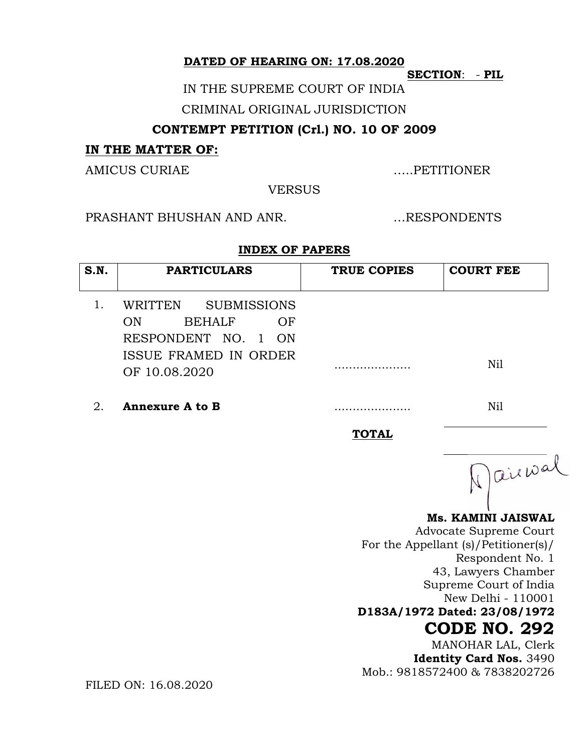**DATED OF HEARING ON: 17.08.2020**

**SECTION**: - **PIL**

IN THE SUPREME COURT OF INDIA

CRIMINAL ORIGINAL JURISDICTION

### **CONTEMPT PETITION (Crl.) NO. 10 OF 2009**

#### **IN THE MATTER OF:**

AMICUS CURIAE NEWSLET AND MULTIMUM AND MULTIMUM AND MULTIMUM AND MULTIMUM AND MULTIMUM AND MULTIMUM AND MULTIMUM AND MULTIMUM AND MULTIMUM AND MULTIMUM AND MULTIMUM AND MULTIMUM AND MULTIMUM AND MULTIMUM AND MULTIMUM AND M

**VERSUS** 

PRASHANT BHUSHAN AND ANR. …RESPONDENTS

#### **INDEX OF PAPERS**

| S.N. | <b>PARTICULARS</b>                                         | TRUE COPIES  | <b>COURT FEE</b> |
|------|------------------------------------------------------------|--------------|------------------|
| 1.   | WRITTEN<br><b>SUBMISSIONS</b><br><b>BEHALF</b><br>OF<br>ON |              |                  |
|      | RESPONDENT NO. 1 ON                                        |              |                  |
|      | ISSUE FRAMED IN ORDER<br>OF 10.08.2020                     |              | Nil              |
| 2.   | <b>Annexure A to B</b>                                     |              | Nil              |
|      |                                                            | <b>TOTAL</b> |                  |
|      |                                                            |              | · aiewal         |

**Ms. KAMINI JAISWAL** 

Advocate Supreme Court For the Appellant (s)/Petitioner(s)/ Respondent No. 1 43, Lawyers Chamber Supreme Court of India New Delhi - 110001 **D183A/1972 Dated: 23/08/1972**

# **CODE NO. 292**

MANOHAR LAL, Clerk **Identity Card Nos.** 3490 Mob.: 9818572400 & 7838202726

FILED ON: 16.08.2020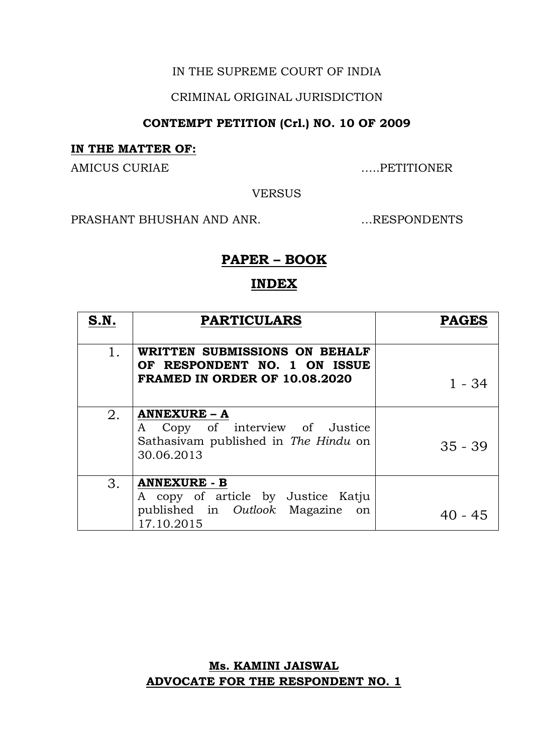#### IN THE SUPREME COURT OF INDIA

#### CRIMINAL ORIGINAL JURISDICTION

### **CONTEMPT PETITION (Crl.) NO. 10 OF 2009**

#### **IN THE MATTER OF:**

AMICUS CURIAE NEWSLET AND MUNICUS CURIAE

VERSUS

PRASHANT BHUSHAN AND ANR. …RESPONDENTS

### **PAPER – BOOK**

#### **INDEX**

| S.N. | <b>PARTICULARS</b>                                                                                             | <b>PAGES</b> |
|------|----------------------------------------------------------------------------------------------------------------|--------------|
| 1.   | WRITTEN SUBMISSIONS ON BEHALF<br>OF RESPONDENT NO. 1 ON ISSUE<br><b>FRAMED IN ORDER OF 10.08.2020</b>          | 1 - 34       |
| 2.   | <b>ANNEXURE - A</b><br>Copy of interview of Justice<br>A<br>Sathasivam published in The Hindu on<br>30.06.2013 | $35 - 39$    |
| 3.   | <b>ANNEXURE - B</b><br>A copy of article by Justice Katju<br>published in Outlook Magazine<br>on<br>17.10.2015 | $40 - 45$    |

### **Ms. KAMINI JAISWAL ADVOCATE FOR THE RESPONDENT NO. 1**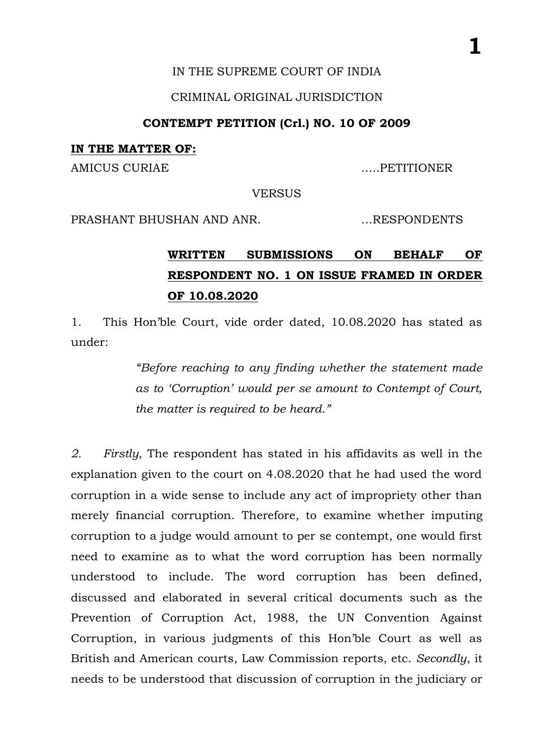#### IN THE SUPREME COURT OF INDIA

#### CRIMINAL ORIGINAL JURISDICTION

#### **CONTEMPT PETITION (Crl.) NO. 10 OF 2009**

#### **IN THE MATTER OF:**

AMICUS CURIAE …..PETITIONER

**VERSUS** 

PRASHANT BHUSHAN AND ANR. …RESPONDENTS

# **WRITTEN SUBMISSIONS ON BEHALF OF RESPONDENT NO. 1 ON ISSUE FRAMED IN ORDER OF 10.08.2020**

1. This Hon'ble Court, vide order dated, 10.08.2020 has stated as under:

> *"Before reaching to any finding whether the statement made as to 'Corruption' would per se amount to Contempt of Court, the matter is required to be heard."*

*2. Firstly*, The respondent has stated in his affidavits as well in the explanation given to the court on 4.08.2020 that he had used the word corruption in a wide sense to include any act of impropriety other than merely financial corruption. Therefore, to examine whether imputing corruption to a judge would amount to per se contempt, one would first need to examine as to what the word corruption has been normally understood to include. The word corruption has been defined, discussed and elaborated in several critical documents such as the Prevention of Corruption Act, 1988, the UN Convention Against Corruption, in various judgments of this Hon'ble Court as well as British and American courts, Law Commission reports, etc. *Secondly*, it needs to be understood that discussion of corruption in the judiciary or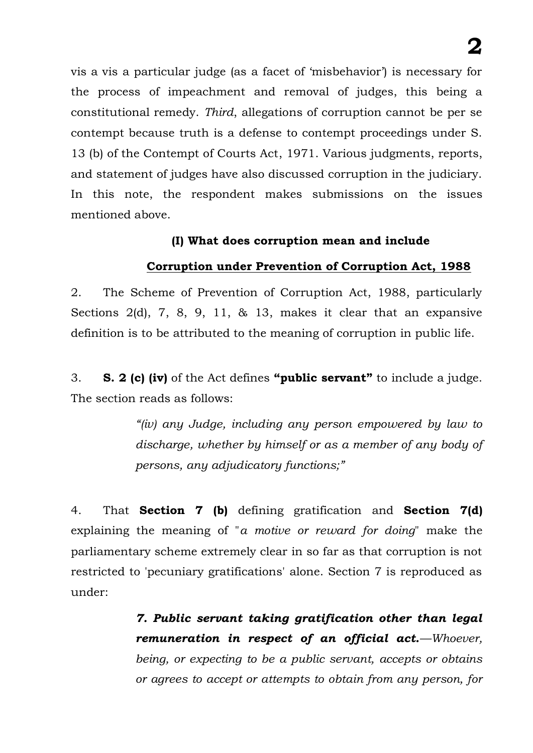vis a vis a particular judge (as a facet of 'misbehavior') is necessary for the process of impeachment and removal of judges, this being a constitutional remedy. *Third*, allegations of corruption cannot be per se contempt because truth is a defense to contempt proceedings under S. 13 (b) of the Contempt of Courts Act, 1971. Various judgments, reports, and statement of judges have also discussed corruption in the judiciary. In this note, the respondent makes submissions on the issues mentioned above.

#### **(I) What does corruption mean and include**

### **Corruption under Prevention of Corruption Act, 1988**

2. The Scheme of Prevention of Corruption Act, 1988, particularly Sections 2(d), 7, 8, 9, 11, & 13, makes it clear that an expansive definition is to be attributed to the meaning of corruption in public life.

3. **S. 2 (c) (iv)** of the Act defines **"public servant"** to include a judge. The section reads as follows:

> *"(iv) any Judge, including any person empowered by law to discharge, whether by himself or as a member of any body of persons, any adjudicatory functions;"*

4. That **Section 7 (b)** defining gratification and **Section 7(d)** explaining the meaning of "*a motive or reward for doing*" make the parliamentary scheme extremely clear in so far as that corruption is not restricted to 'pecuniary gratifications' alone. Section 7 is reproduced as under:

> *7. Public servant taking gratification other than legal remuneration in respect of an official act.—Whoever, being, or expecting to be a public servant, accepts or obtains or agrees to accept or attempts to obtain from any person, for*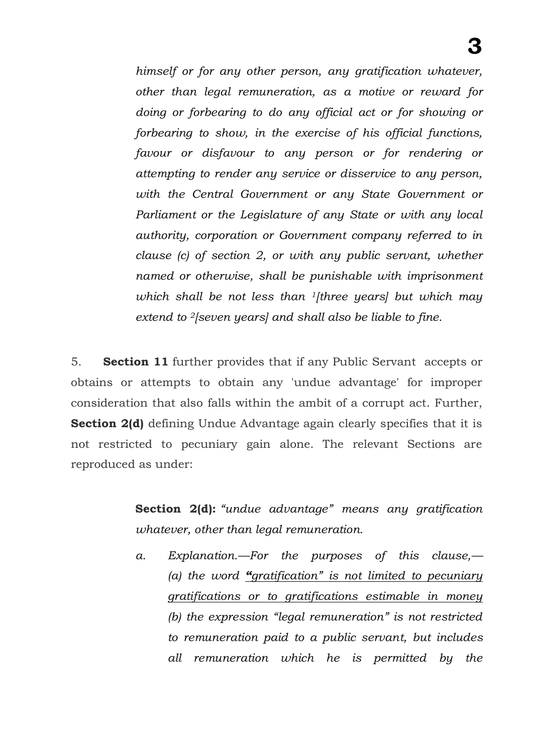*himself or for any other person, any gratification whatever, other than legal remuneration, as a motive or reward for doing or forbearing to do any official act or for showing or forbearing to show, in the exercise of his official functions, favour or disfavour to any person or for rendering or attempting to render any service or disservice to any person, with the Central Government or any State Government or Parliament or the Legislature of any State or with any local authority, corporation or Government company referred to in clause (c) of section 2, or with any public servant, whether named or otherwise, shall be punishable with imprisonment which shall be not less than 1[three years] but which may extend to 2[seven years] and shall also be liable to fine.*

5. **Section 11** further provides that if any Public Servant accepts or obtains or attempts to obtain any 'undue advantage' for improper consideration that also falls within the ambit of a corrupt act. Further, **Section 2(d)** defining Undue Advantage again clearly specifies that it is not restricted to pecuniary gain alone. The relevant Sections are reproduced as under:

> **Section 2(d):** *"undue advantage" means any gratification whatever, other than legal remuneration.*

> *a. Explanation.—For the purposes of this clause,— (a) the word "gratification" is not limited to pecuniary gratifications or to gratifications estimable in money (b) the expression "legal remuneration" is not restricted to remuneration paid to a public servant, but includes all remuneration which he is permitted by the*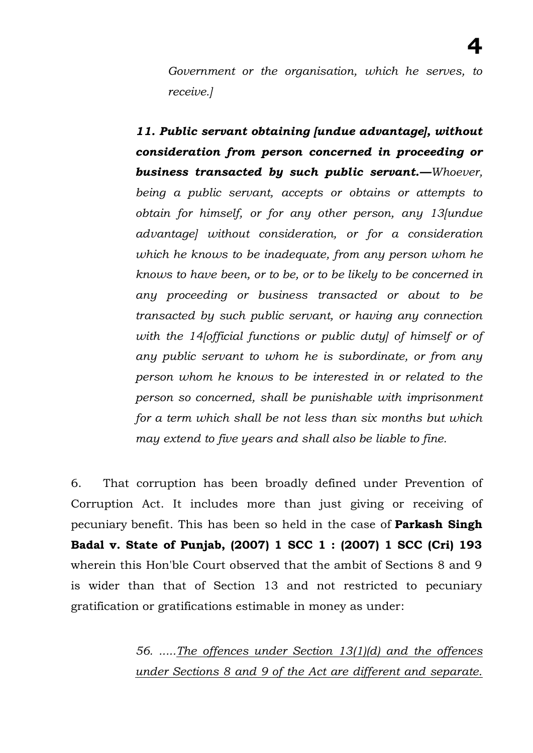*Government or the organisation, which he serves, to receive.]* 

*11. Public servant obtaining [undue advantage], without consideration from person concerned in proceeding or business transacted by such public servant.—Whoever, being a public servant, accepts or obtains or attempts to obtain for himself, or for any other person, any 13[undue advantage] without consideration, or for a consideration which he knows to be inadequate, from any person whom he knows to have been, or to be, or to be likely to be concerned in any proceeding or business transacted or about to be transacted by such public servant, or having any connection with the 14[official functions or public duty] of himself or of any public servant to whom he is subordinate, or from any person whom he knows to be interested in or related to the person so concerned, shall be punishable with imprisonment for a term which shall be not less than six months but which may extend to five years and shall also be liable to fine.*

6. That corruption has been broadly defined under Prevention of Corruption Act. It includes more than just giving or receiving of pecuniary benefit. This has been so held in the case of **Parkash Singh Badal v. State of Punjab, (2007) 1 SCC 1 : (2007) 1 SCC (Cri) 193**  wherein this Hon'ble Court observed that the ambit of Sections 8 and 9 is wider than that of Section 13 and not restricted to pecuniary gratification or gratifications estimable in money as under:

> *56. .....The offences under Section 13(1)(d) and the offences under Sections 8 and 9 of the Act are different and separate.*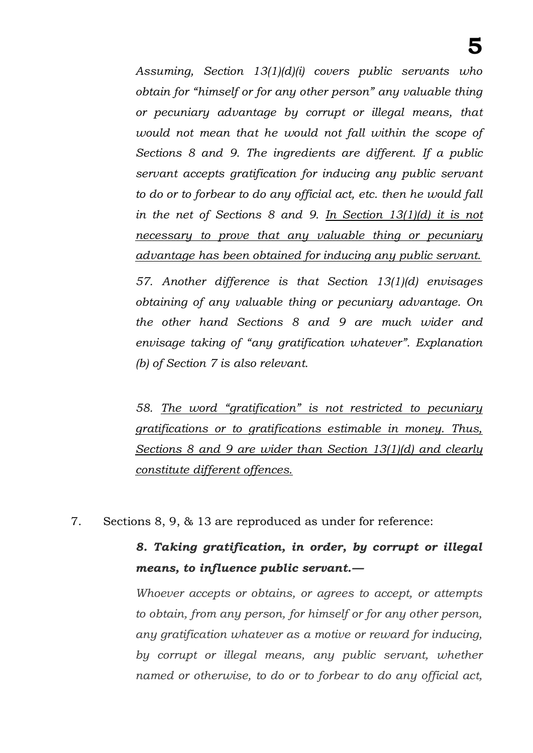*Assuming, Section 13(1)(d)(i) covers public servants who obtain for "himself or for any other person" any valuable thing or pecuniary advantage by corrupt or illegal means, that would not mean that he would not fall within the scope of Sections 8 and 9. The ingredients are different. If a public servant accepts gratification for inducing any public servant to do or to forbear to do any official act, etc. then he would fall in the net of Sections 8 and 9. In Section 13(1)(d) it is not necessary to prove that any valuable thing or pecuniary advantage has been obtained for inducing any public servant.*

*57. Another difference is that Section 13(1)(d) envisages obtaining of any valuable thing or pecuniary advantage. On the other hand Sections 8 and 9 are much wider and envisage taking of "any gratification whatever". Explanation (b) of Section 7 is also relevant.*

*58. The word "gratification" is not restricted to pecuniary gratifications or to gratifications estimable in money. Thus, Sections 8 and 9 are wider than Section 13(1)(d) and clearly constitute different offences.*

7. Sections 8, 9, & 13 are reproduced as under for reference:

# *8. Taking gratification, in order, by corrupt or illegal means, to influence public servant.—*

*Whoever accepts or obtains, or agrees to accept, or attempts to obtain, from any person, for himself or for any other person, any gratification whatever as a motive or reward for inducing, by corrupt or illegal means, any public servant, whether named or otherwise, to do or to forbear to do any official act,*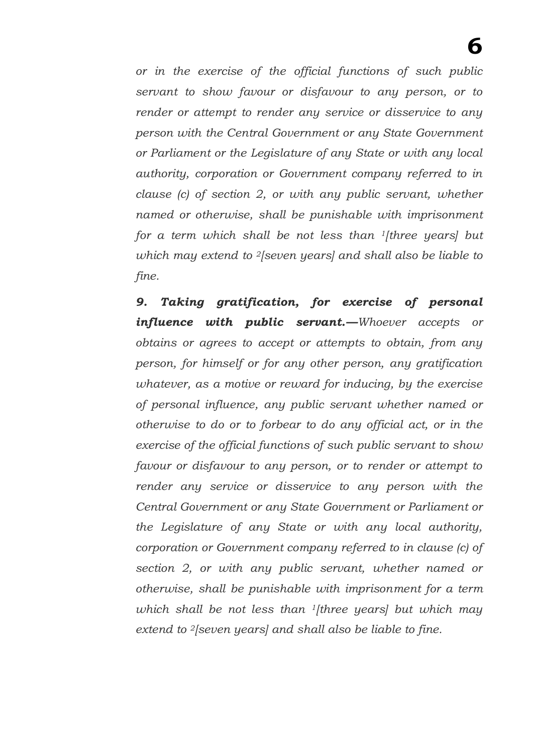*or in the exercise of the official functions of such public servant to show favour or disfavour to any person, or to render or attempt to render any service or disservice to any person with the Central Government or any State Government or Parliament or the Legislature of any State or with any local authority, corporation or Government company referred to in clause (c) of section 2, or with any public servant, whether named or otherwise, shall be punishable with imprisonment for a term which shall be not less than 1[three years] but which may extend to 2[seven years] and shall also be liable to fine.* 

*9. Taking gratification, for exercise of personal influence with public servant.—Whoever accepts or obtains or agrees to accept or attempts to obtain, from any person, for himself or for any other person, any gratification whatever, as a motive or reward for inducing, by the exercise of personal influence, any public servant whether named or otherwise to do or to forbear to do any official act, or in the exercise of the official functions of such public servant to show favour or disfavour to any person, or to render or attempt to render any service or disservice to any person with the Central Government or any State Government or Parliament or the Legislature of any State or with any local authority, corporation or Government company referred to in clause (c) of section 2, or with any public servant, whether named or otherwise, shall be punishable with imprisonment for a term which shall be not less than 1[three years] but which may extend to 2[seven years] and shall also be liable to fine.*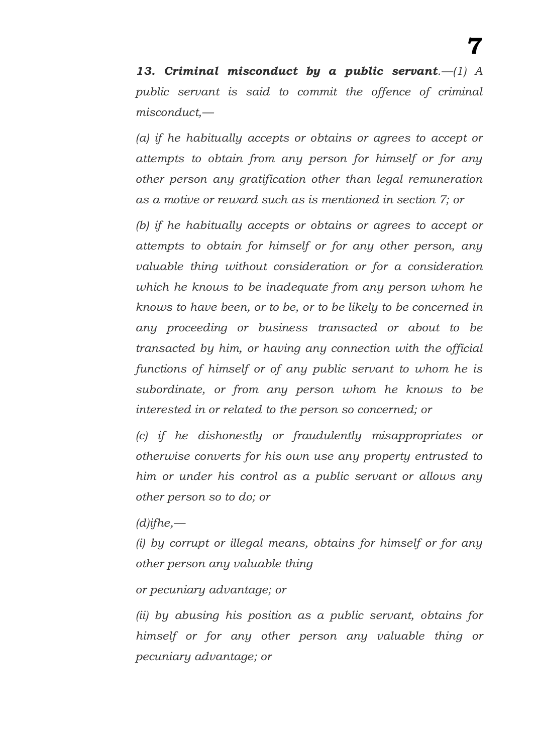*13. Criminal misconduct by a public servant.—(1) A public servant is said to commit the offence of criminal misconduct,—*

*(a) if he habitually accepts or obtains or agrees to accept or attempts to obtain from any person for himself or for any other person any gratification other than legal remuneration as a motive or reward such as is mentioned in section 7; or* 

*(b) if he habitually accepts or obtains or agrees to accept or attempts to obtain for himself or for any other person, any valuable thing without consideration or for a consideration which he knows to be inadequate from any person whom he knows to have been, or to be, or to be likely to be concerned in any proceeding or business transacted or about to be transacted by him, or having any connection with the official functions of himself or of any public servant to whom he is subordinate, or from any person whom he knows to be interested in or related to the person so concerned; or* 

*(c) if he dishonestly or fraudulently misappropriates or otherwise converts for his own use any property entrusted to him or under his control as a public servant or allows any other person so to do; or* 

*(d)ifhe,—*

*(i) by corrupt or illegal means, obtains for himself or for any other person any valuable thing* 

*or pecuniary advantage; or* 

*(ii) by abusing his position as a public servant, obtains for himself or for any other person any valuable thing or pecuniary advantage; or*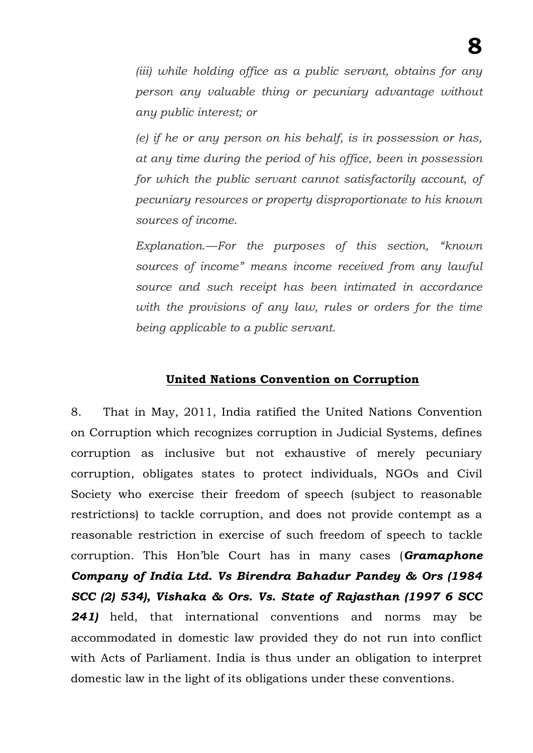*(iii) while holding office as a public servant, obtains for any person any valuable thing or pecuniary advantage without any public interest; or* 

*(e) if he or any person on his behalf, is in possession or has, at any time during the period of his office, been in possession for which the public servant cannot satisfactorily account, of pecuniary resources or property disproportionate to his known sources of income.* 

*Explanation.—For the purposes of this section, "known sources of income" means income received from any lawful source and such receipt has been intimated in accordance with the provisions of any law, rules or orders for the time being applicable to a public servant.* 

### **United Nations Convention on Corruption**

8. That in May, 2011, India ratified the United Nations Convention on Corruption which recognizes corruption in Judicial Systems, defines corruption as inclusive but not exhaustive of merely pecuniary corruption, obligates states to protect individuals, NGOs and Civil Society who exercise their freedom of speech (subject to reasonable restrictions) to tackle corruption, and does not provide contempt as a reasonable restriction in exercise of such freedom of speech to tackle corruption. This Hon'ble Court has in many cases (*Gramaphone Company of India Ltd. Vs Birendra Bahadur Pandey & Ors (1984 SCC (2) 534), Vishaka & Ors. Vs. State of Rajasthan (1997 6 SCC 241)* held, that international conventions and norms may be accommodated in domestic law provided they do not run into conflict with Acts of Parliament. India is thus under an obligation to interpret domestic law in the light of its obligations under these conventions.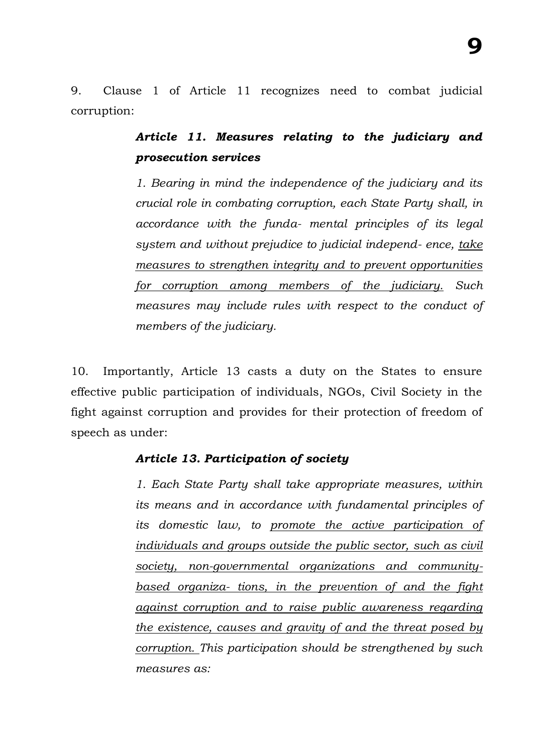9. Clause 1 of Article 11 recognizes need to combat judicial corruption:

## *Article 11. Measures relating to the judiciary and prosecution services*

*1. Bearing in mind the independence of the judiciary and its crucial role in combating corruption, each State Party shall, in accordance with the funda- mental principles of its legal system and without prejudice to judicial independ- ence, take measures to strengthen integrity and to prevent opportunities for corruption among members of the judiciary. Such measures may include rules with respect to the conduct of members of the judiciary.*

10. Importantly, Article 13 casts a duty on the States to ensure effective public participation of individuals, NGOs, Civil Society in the fight against corruption and provides for their protection of freedom of speech as under:

### *Article 13. Participation of society*

*1. Each State Party shall take appropriate measures, within its means and in accordance with fundamental principles of its domestic law, to promote the active participation of individuals and groups outside the public sector, such as civil society, non-governmental organizations and communitybased organiza- tions, in the prevention of and the fight against corruption and to raise public awareness regarding the existence, causes and gravity of and the threat posed by corruption. This participation should be strengthened by such measures as:*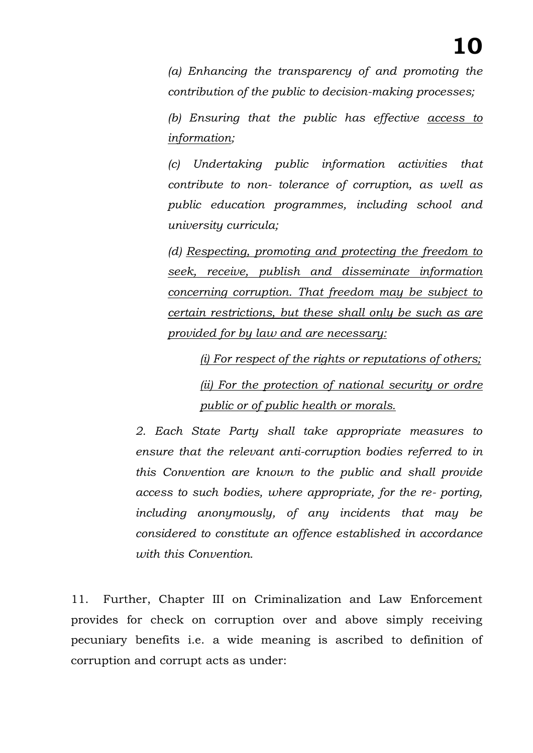*(a) Enhancing the transparency of and promoting the contribution of the public to decision-making processes;*

*(b) Ensuring that the public has effective access to information;*

*(c) Undertaking public information activities that contribute to non- tolerance of corruption, as well as public education programmes, including school and university curricula;*

*(d) Respecting, promoting and protecting the freedom to seek, receive, publish and disseminate information concerning corruption. That freedom may be subject to certain restrictions, but these shall only be such as are provided for by law and are necessary:*

*(i) For respect of the rights or reputations of others; (ii) For the protection of national security or ordre public or of public health or morals.*

*2. Each State Party shall take appropriate measures to ensure that the relevant anti-corruption bodies referred to in this Convention are known to the public and shall provide access to such bodies, where appropriate, for the re- porting, including anonymously, of any incidents that may be considered to constitute an offence established in accordance with this Convention.*

11. Further, Chapter III on Criminalization and Law Enforcement provides for check on corruption over and above simply receiving pecuniary benefits i.e. a wide meaning is ascribed to definition of corruption and corrupt acts as under: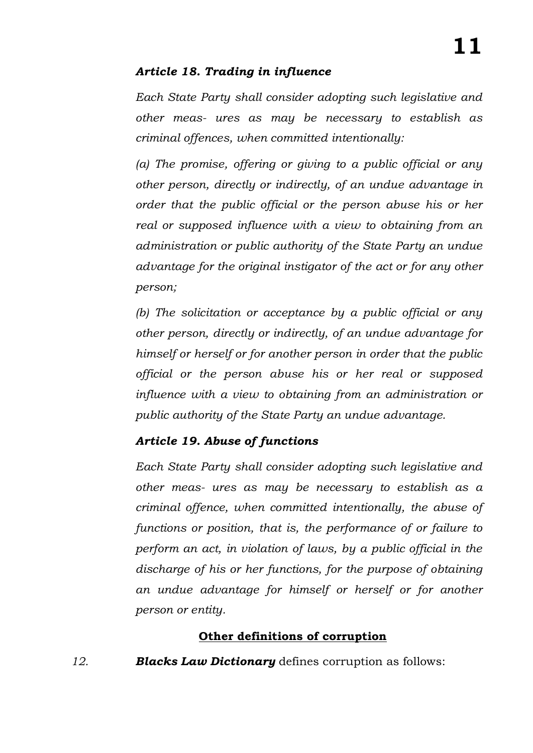### *Article 18. Trading in influence*

*Each State Party shall consider adopting such legislative and other meas- ures as may be necessary to establish as criminal offences, when committed intentionally:*

*(a) The promise, offering or giving to a public official or any other person, directly or indirectly, of an undue advantage in order that the public official or the person abuse his or her real or supposed influence with a view to obtaining from an administration or public authority of the State Party an undue advantage for the original instigator of the act or for any other person;*

*(b) The solicitation or acceptance by a public official or any other person, directly or indirectly, of an undue advantage for himself or herself or for another person in order that the public official or the person abuse his or her real or supposed influence with a view to obtaining from an administration or public authority of the State Party an undue advantage.*

### *Article 19. Abuse of functions*

*Each State Party shall consider adopting such legislative and other meas- ures as may be necessary to establish as a criminal offence, when committed intentionally, the abuse of functions or position, that is, the performance of or failure to perform an act, in violation of laws, by a public official in the discharge of his or her functions, for the purpose of obtaining an undue advantage for himself or herself or for another person or entity.*

### **Other definitions of corruption**

*12. Blacks Law Dictionary* defines corruption as follows: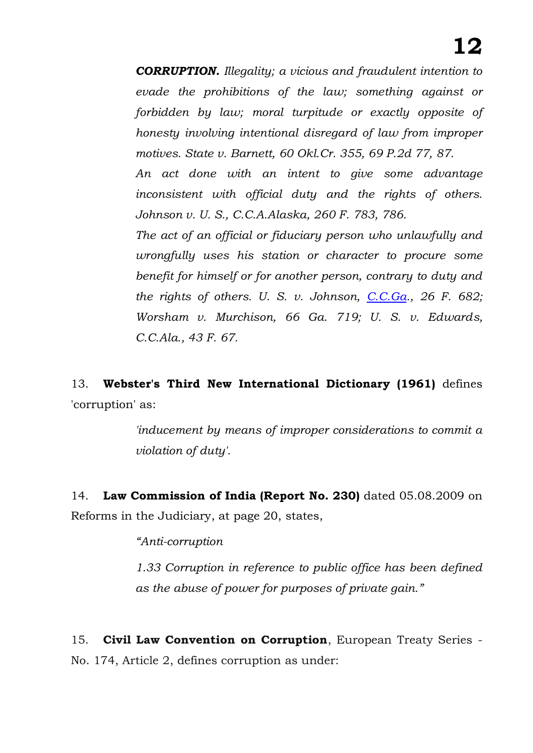*CORRUPTION. Illegality; a vicious and fraudulent intention to evade the prohibitions of the law; something against or forbidden by law; moral turpitude or exactly opposite of honesty involving intentional disregard of law from improper motives. State v. Barnett, 60 Okl.Cr. 355, 69 P.2d 77, 87.* 

*An act done with an intent to give some advantage inconsistent with official duty and the rights of others. Johnson v. U. S., C.C.A.Alaska, 260 F. 783, 786.* 

*The act of an official or fiduciary person who unlawfully and wrongfully uses his station or character to procure some benefit for himself or for another person, contrary to duty and the rights of others. U. S. v. Johnson, [C.C.Ga.](http://c.c.ga/), 26 F. 682; Worsham v. Murchison, 66 Ga. 719; U. S. v. Edwards, C.C.Ala., 43 F. 67.*

13. **Webster's Third New International Dictionary (1961)** defines 'corruption' as:

> *'inducement by means of improper considerations to commit a violation of duty'.*

14. **Law Commission of India (Report No. 230)** dated 05.08.2009 on Reforms in the Judiciary, at page 20, states,

*"Anti-corruption* 

*1.33 Corruption in reference to public office has been defined as the abuse of power for purposes of private gain."*

15. **Civil Law Convention on Corruption**[,](https://www.coe.int/en/web/conventions/full-list/-/conventions/treaty/174) European Treaty Series - No. 174, Article 2, defines corruption as under: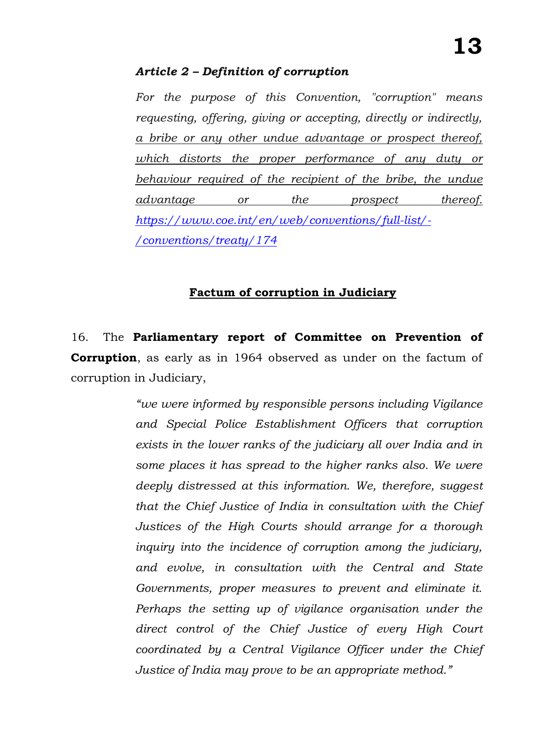#### *Article 2 – Definition of corruption*

*For the purpose of this Convention, "corruption" means requesting, offering, giving or accepting, directly or indirectly, a bribe or any other undue advantage or prospect thereof, which distorts the proper performance of any duty or behaviour required of the recipient of the bribe, the undue advantage or the prospect thereof. [https://www.coe.int/en/web/conventions/full-list/-](https://www.coe.int/en/web/conventions/full-list/-/conventions/treaty/174) [/conventions/treaty/174](https://www.coe.int/en/web/conventions/full-list/-/conventions/treaty/174)*

#### **Factum of corruption in Judiciary**

16. The **Parliamentary report of Committee on Prevention of Corruption**, as early as in 1964 observed as under on the factum of corruption in Judiciary,

> *"we were informed by responsible persons including Vigilance and Special Police Establishment Officers that corruption exists in the lower ranks of the judiciary all over India and in some places it has spread to the higher ranks also. We were deeply distressed at this information. We, therefore, suggest that the Chief Justice of India in consultation with the Chief Justices of the High Courts should arrange for a thorough inquiry into the incidence of corruption among the judiciary, and evolve, in consultation with the Central and State Governments, proper measures to prevent and eliminate it. Perhaps the setting up of vigilance organisation under the direct control of the Chief Justice of every High Court coordinated by a Central Vigilance Officer under the Chief Justice of India may prove to be an appropriate method."*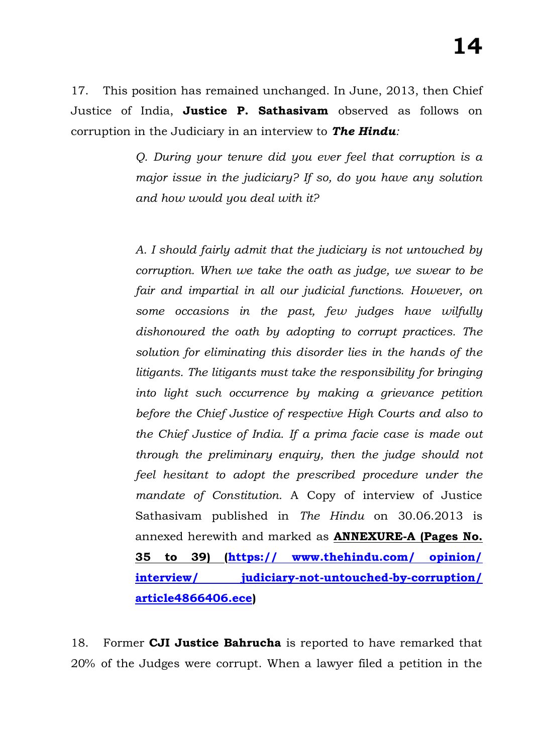17. This position has remained unchanged. In June, 2013, then Chief Justice of India, **Justice P. Sathasivam** observed as follows on corruption in the Judiciary in an interview to *The Hindu:*

> *Q. During your tenure did you ever feel that corruption is a major issue in the judiciary? If so, do you have any solution and how would you deal with it?*

> *A. I should fairly admit that the judiciary is not untouched by corruption. When we take the oath as judge, we swear to be fair and impartial in all our judicial functions. However, on some occasions in the past, few judges have wilfully dishonoured the oath by adopting to corrupt practices. The solution for eliminating this disorder lies in the hands of the litigants. The litigants must take the responsibility for bringing into light such occurrence by making a grievance petition before the Chief Justice of respective High Courts and also to the Chief Justice of India. If a prima facie case is made out through the preliminary enquiry, then the judge should not feel hesitant to adopt the prescribed procedure under the mandate of Constitution.* A Copy of interview of Justice Sathasivam published in *The Hindu* on 30.06.2013 is annexed herewith and marked as **ANNEXURE-A (Pages No. 35 to 39) (https:// www.thehindu.com/ opinion/ interview/ judiciary-not-untouched-by-corruption/ article4866406.ece)**

18. Former **CJI Justice Bahrucha** is reported to have remarked that 20% of the Judges were corrupt. When a lawyer filed a petition in the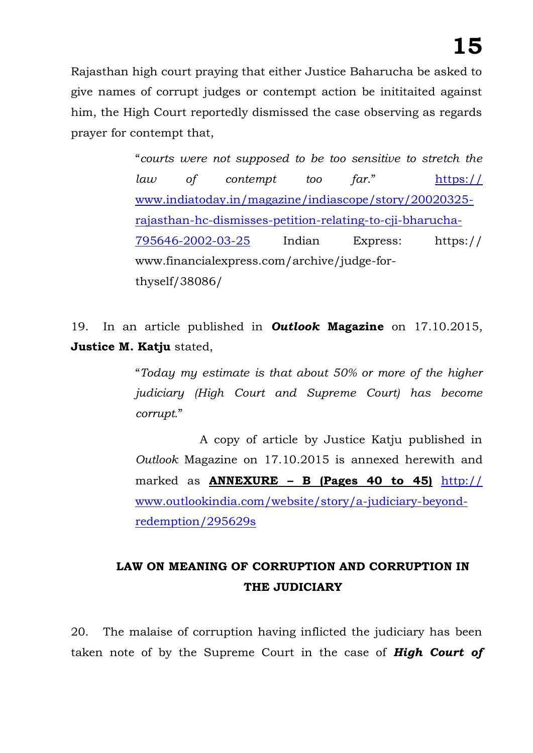Rajasthan high court praying that either Justice Baharucha be asked to give names of corrupt judges or contempt action be inititaited against him, the High Court reportedly dismissed the case observing as regards prayer for contempt that,

> "*courts were not supposed to be too sensitive to stretch the law of contempt too far*." https:// www.indiatoday.in/magazine/indiascope/story/20020325 rajasthan-hc-dismisses-petition-relating-to-cji-bharucha-795646-2002-03-25 Indian Express: https:// www.financialexpress.com/archive/judge-forthyself/38086/

19. In an article published in *Outlook* **Magazine** on 17.10.2015, **Justice M. Katju** stated,

> "*Today my estimate is that about 50% or more of the higher judiciary (High Court and Supreme Court) has become corrupt.*"

> A copy of article by Justice Katju published in *Outlook* Magazine on 17.10.2015 is annexed herewith and marked as **ANNEXURE – B (Pages 40 to 45)** http:// www.outlookindia.com/website/story/a-judiciary-beyondredemption/295629s

## **LAW ON MEANING OF CORRUPTION AND CORRUPTION IN THE JUDICIARY**

20. The malaise of corruption having inflicted the judiciary has been taken note of by the Supreme Court in the case of *High Court of*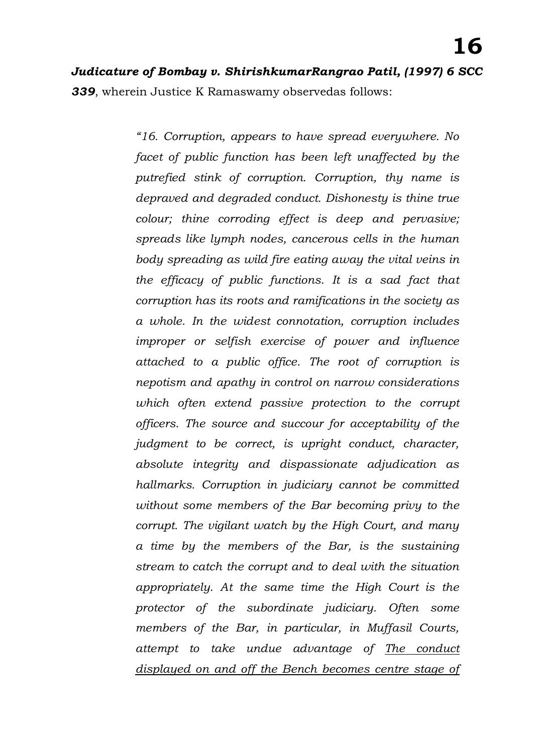*Judicature of Bombay v. ShirishkumarRangrao Patil, (1997) 6 SCC 339*, wherein Justice K Ramaswamy observedas follows:

> *"16. Corruption, appears to have spread everywhere. No facet of public function has been left unaffected by the putrefied stink of corruption. Corruption, thy name is depraved and degraded conduct. Dishonesty is thine true colour; thine corroding effect is deep and pervasive; spreads like lymph nodes, cancerous cells in the human body spreading as wild fire eating away the vital veins in the efficacy of public functions. It is a sad fact that corruption has its roots and ramifications in the society as a whole. In the widest connotation, corruption includes improper or selfish exercise of power and influence attached to a public office. The root of corruption is nepotism and apathy in control on narrow considerations which often extend passive protection to the corrupt officers. The source and succour for acceptability of the judgment to be correct, is upright conduct, character, absolute integrity and dispassionate adjudication as hallmarks. Corruption in judiciary cannot be committed without some members of the Bar becoming privy to the corrupt. The vigilant watch by the High Court, and many a time by the members of the Bar, is the sustaining stream to catch the corrupt and to deal with the situation appropriately. At the same time the High Court is the protector of the subordinate judiciary. Often some members of the Bar, in particular, in Muffasil Courts, attempt to take undue advantage of The conduct displayed on and off the Bench becomes centre stage of*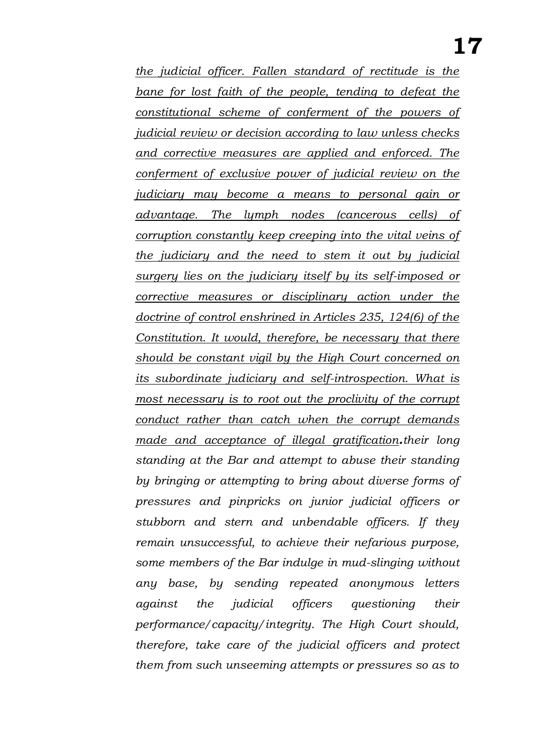*the judicial officer. Fallen standard of rectitude is the bane for lost faith of the people, tending to defeat the constitutional scheme of conferment of the powers of judicial review or decision according to law unless checks and corrective measures are applied and enforced. The conferment of exclusive power of judicial review on the judiciary may become a means to personal gain or advantage. The lymph nodes (cancerous cells) of corruption constantly keep creeping into the vital veins of the judiciary and the need to stem it out by judicial surgery lies on the judiciary itself by its self-imposed or corrective measures or disciplinary action under the doctrine of control enshrined in Articles 235, 124(6) of the Constitution. It would, therefore, be necessary that there should be constant vigil by the High Court concerned on its subordinate judiciary and self-introspection. What is most necessary is to root out the proclivity of the corrupt conduct rather than catch when the corrupt demands made and acceptance of illegal gratification.their long standing at the Bar and attempt to abuse their standing by bringing or attempting to bring about diverse forms of pressures and pinpricks on junior judicial officers or stubborn and stern and unbendable officers. If they remain unsuccessful, to achieve their nefarious purpose, some members of the Bar indulge in mud-slinging without any base, by sending repeated anonymous letters against the judicial officers questioning their performance/capacity/integrity. The High Court should, therefore, take care of the judicial officers and protect them from such unseeming attempts or pressures so as to*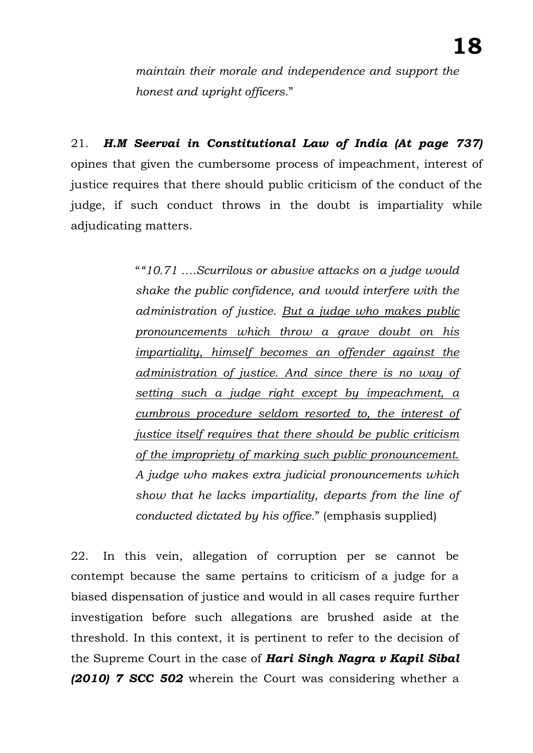*maintain their morale and independence and support the honest and upright officers.*"

21. *H.M Seervai in Constitutional Law of India (At page 737)* opines that given the cumbersome process of impeachment, interest of justice requires that there should public criticism of the conduct of the judge, if such conduct throws in the doubt is impartiality while adjudicating matters.

> "*"10.71 ….Scurrilous or abusive attacks on a judge would shake the public confidence, and would interfere with the administration of justice. But a judge who makes public pronouncements which throw a grave doubt on his impartiality, himself becomes an offender against the administration of justice. And since there is no way of setting such a judge right except by impeachment, a cumbrous procedure seldom resorted to, the interest of justice itself requires that there should be public criticism of the impropriety of marking such public pronouncement. A judge who makes extra judicial pronouncements which show that he lacks impartiality, departs from the line of conducted dictated by his office.*" (emphasis supplied)

22. In this vein, allegation of corruption per se cannot be contempt because the same pertains to criticism of a judge for a biased dispensation of justice and would in all cases require further investigation before such allegations are brushed aside at the threshold. In this context, it is pertinent to refer to the decision of the Supreme Court in the case of *Hari Singh Nagra v Kapil Sibal (2010) 7 SCC 502* wherein the Court was considering whether a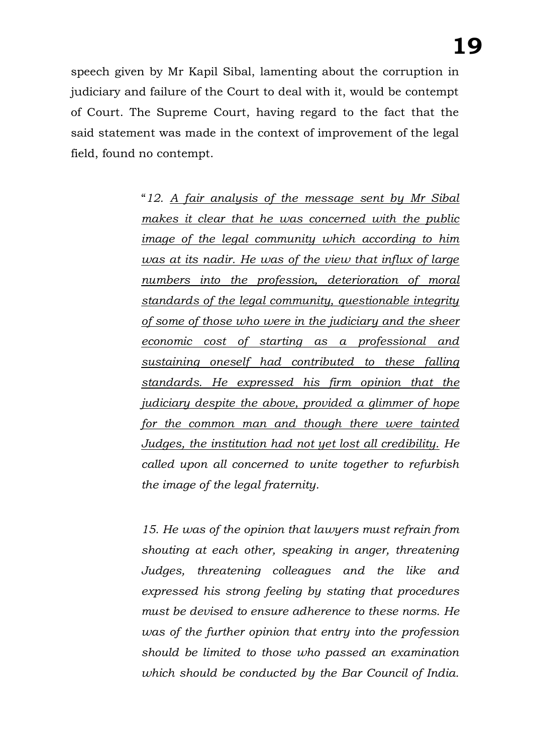speech given by Mr Kapil Sibal, lamenting about the corruption in judiciary and failure of the Court to deal with it, would be contempt of Court. The Supreme Court, having regard to the fact that the said statement was made in the context of improvement of the legal field, found no contempt.

> "*12. A fair analysis of the message sent by Mr Sibal makes it clear that he was concerned with the public image of the legal community which according to him was at its nadir. He was of the view that influx of large numbers into the profession, deterioration of moral standards of the legal community, questionable integrity of some of those who were in the judiciary and the sheer economic cost of starting as a professional and sustaining oneself had contributed to these falling standards. He expressed his firm opinion that the judiciary despite the above, provided a glimmer of hope for the common man and though there were tainted Judges, the institution had not yet lost all credibility. He called upon all concerned to unite together to refurbish the image of the legal fraternity.*

> *15. He was of the opinion that lawyers must refrain from shouting at each other, speaking in anger, threatening Judges, threatening colleagues and the like and expressed his strong feeling by stating that procedures must be devised to ensure adherence to these norms. He was of the further opinion that entry into the profession should be limited to those who passed an examination which should be conducted by the Bar Council of India.*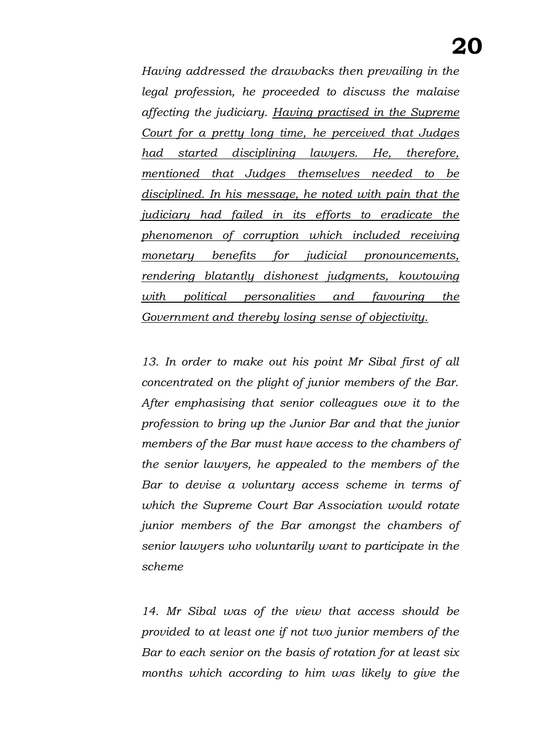*Having addressed the drawbacks then prevailing in the legal profession, he proceeded to discuss the malaise affecting the judiciary. Having practised in the Supreme Court for a pretty long time, he perceived that Judges had started disciplining lawyers. He, therefore, mentioned that Judges themselves needed to be disciplined. In his message, he noted with pain that the judiciary had failed in its efforts to eradicate the phenomenon of corruption which included receiving monetary benefits for judicial pronouncements, rendering blatantly dishonest judgments, kowtowing with political personalities and favouring the Government and thereby losing sense of objectivity.*

13. In order to make out his point Mr Sibal first of all *concentrated on the plight of junior members of the Bar. After emphasising that senior colleagues owe it to the profession to bring up the Junior Bar and that the junior members of the Bar must have access to the chambers of the senior lawyers, he appealed to the members of the Bar to devise a voluntary access scheme in terms of which the Supreme Court Bar Association would rotate junior members of the Bar amongst the chambers of senior lawyers who voluntarily want to participate in the scheme*

*14. Mr Sibal was of the view that access should be provided to at least one if not two junior members of the Bar to each senior on the basis of rotation for at least six months which according to him was likely to give the*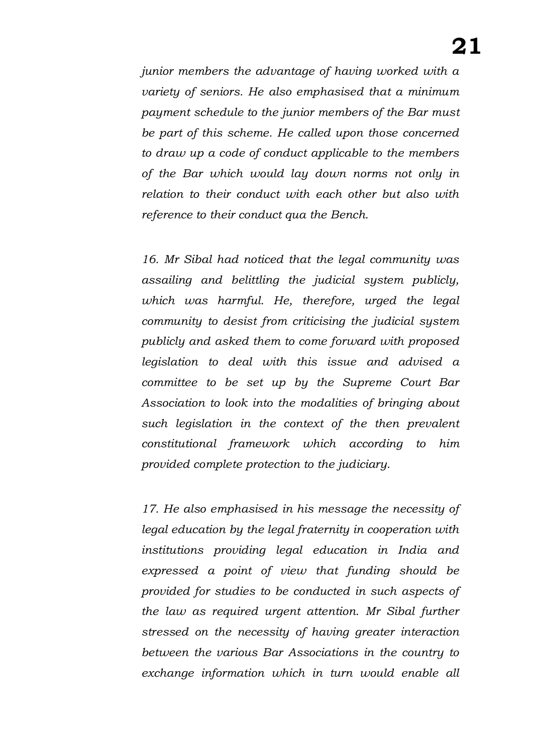*junior members the advantage of having worked with a variety of seniors. He also emphasised that a minimum payment schedule to the junior members of the Bar must be part of this scheme. He called upon those concerned to draw up a code of conduct applicable to the members of the Bar which would lay down norms not only in relation to their conduct with each other but also with reference to their conduct qua the Bench.*

*16. Mr Sibal had noticed that the legal community was assailing and belittling the judicial system publicly, which was harmful. He, therefore, urged the legal community to desist from criticising the judicial system publicly and asked them to come forward with proposed legislation to deal with this issue and advised a committee to be set up by the Supreme Court Bar Association to look into the modalities of bringing about such legislation in the context of the then prevalent constitutional framework which according to him provided complete protection to the judiciary.*

*17. He also emphasised in his message the necessity of legal education by the legal fraternity in cooperation with institutions providing legal education in India and expressed a point of view that funding should be provided for studies to be conducted in such aspects of the law as required urgent attention. Mr Sibal further stressed on the necessity of having greater interaction between the various Bar Associations in the country to exchange information which in turn would enable all*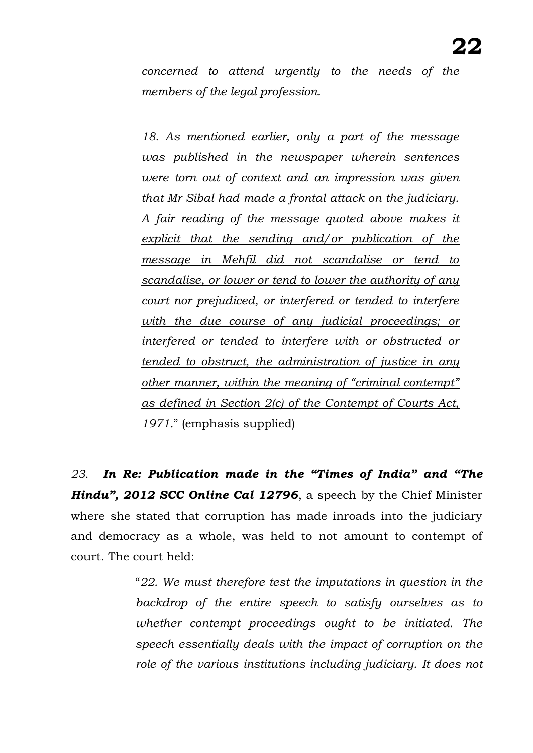*concerned to attend urgently to the needs of the members of the legal profession.*

*18. As mentioned earlier, only a part of the message was published in the newspaper wherein sentences were torn out of context and an impression was given that Mr Sibal had made a frontal attack on the judiciary. A fair reading of the message quoted above makes it explicit that the sending and/or publication of the message in Mehfil did not scandalise or tend to scandalise, or lower or tend to lower the authority of any court nor prejudiced, or interfered or tended to interfere with the due course of any judicial proceedings; or interfered or tended to interfere with or obstructed or tended to obstruct, the administration of justice in any other manner, within the meaning of "criminal contempt" as defined in Section 2(c) of the Contempt of Courts Act, 1971.*" (emphasis supplied)

*23. In Re: Publication made in the "Times of India" and "The Hindu", 2012 SCC Online Cal 12796*, a speech by the Chief Minister where she stated that corruption has made inroads into the judiciary and democracy as a whole, was held to not amount to contempt of court. The court held:

> "*22. We must therefore test the imputations in question in the backdrop of the entire speech to satisfy ourselves as to whether contempt proceedings ought to be initiated. The speech essentially deals with the impact of corruption on the role of the various institutions including judiciary. It does not*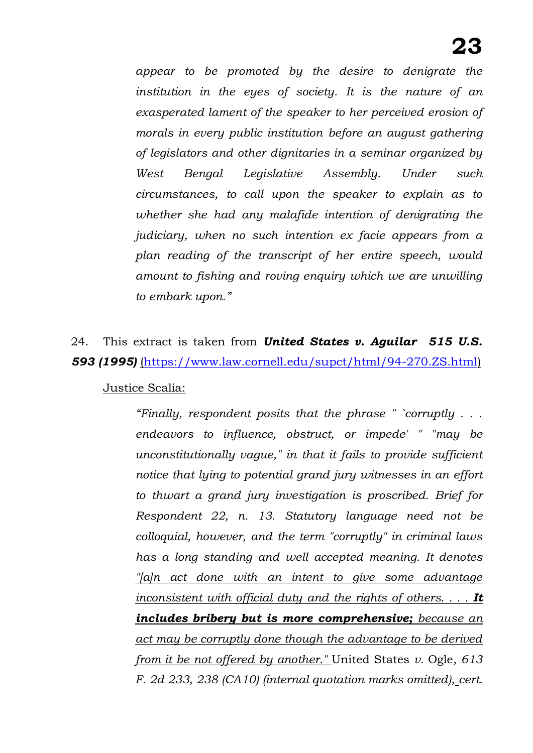*appear to be promoted by the desire to denigrate the institution in the eyes of society. It is the nature of an exasperated lament of the speaker to her perceived erosion of morals in every public institution before an august gathering of legislators and other dignitaries in a seminar organized by West Bengal Legislative Assembly. Under such circumstances, to call upon the speaker to explain as to whether she had any malafide intention of denigrating the judiciary, when no such intention ex facie appears from a plan reading of the transcript of her entire speech, would amount to fishing and roving enquiry which we are unwilling to embark upon."* 

24. This extract is taken from *United States v. Aguilar 515 U.S. 593 (1995)* [\(https://www.law.cornell.edu/supct/html/94-270.ZS.html\)](https://www.law.cornell.edu/supct/html/94-270.ZS.html)

#### Justice Scalia:

*"Finally, respondent posits that the phrase " `corruptly . . . endeavors to influence, obstruct, or impede' " "may be unconstitutionally vague," in that it fails to provide sufficient notice that lying to potential grand jury witnesses in an effort to thwart a grand jury investigation is proscribed. Brief for Respondent 22, n. 13. Statutory language need not be colloquial, however, and the term "corruptly" in criminal laws has a long standing and well accepted meaning. It denotes "[a]n act done with an intent to give some advantage inconsistent with official duty and the rights of others. . . . It includes bribery but is more comprehensive; because an act may be corruptly done though the advantage to be derived from it be not offered by another."* United States *v.* Ogle*, 613 F. 2d 233, 238 (CA10) (internal quotation marks omitted), cert.*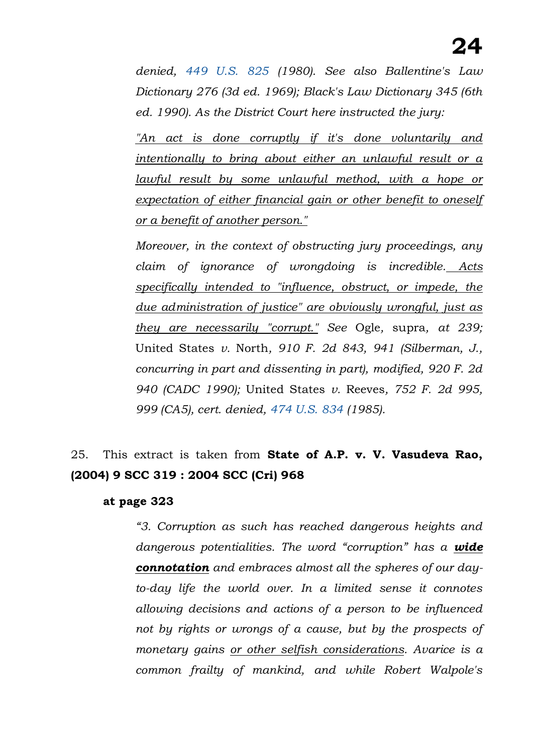*denied, [449 U.S. 825](https://www.law.cornell.edu/supremecourt/text/449/825) (1980). See also Ballentine's Law Dictionary 276 (3d ed. 1969); Black's Law Dictionary 345 (6th ed. 1990). As the District Court here instructed the jury:*

*"An act is done corruptly if it's done voluntarily and intentionally to bring about either an unlawful result or a lawful result by some unlawful method, with a hope or expectation of either financial gain or other benefit to oneself or a benefit of another person."*

*Moreover, in the context of obstructing jury proceedings, any claim of ignorance of wrongdoing is incredible. Acts specifically intended to "influence, obstruct, or impede, the due administration of justice" are obviously wrongful, just as they are necessarily "corrupt." See* Ogle*,* supra*, at 239;*  United States *v.* North*, 910 F. 2d 843, 941 (Silberman, J., concurring in part and dissenting in part), modified, 920 F. 2d 940 (CADC 1990);* United States *v.* Reeves*, 752 F. 2d 995, 999 (CA5), cert. denied, [474 U.S. 834](https://www.law.cornell.edu/supremecourt/text/474/834) (1985).*

## 25. This extract is taken from **State of A.P. v. V. Vasudeva Rao, (2004) 9 SCC 319 : 2004 SCC (Cri) 968**

#### **at page 323**

*"3. Corruption as such has reached dangerous heights and dangerous potentialities. The word "corruption" has a wide connotation and embraces almost all the spheres of our dayto-day life the world over. In a limited sense it connotes allowing decisions and actions of a person to be influenced not by rights or wrongs of a cause, but by the prospects of monetary gains or other selfish considerations. Avarice is a common frailty of mankind, and while Robert Walpole's*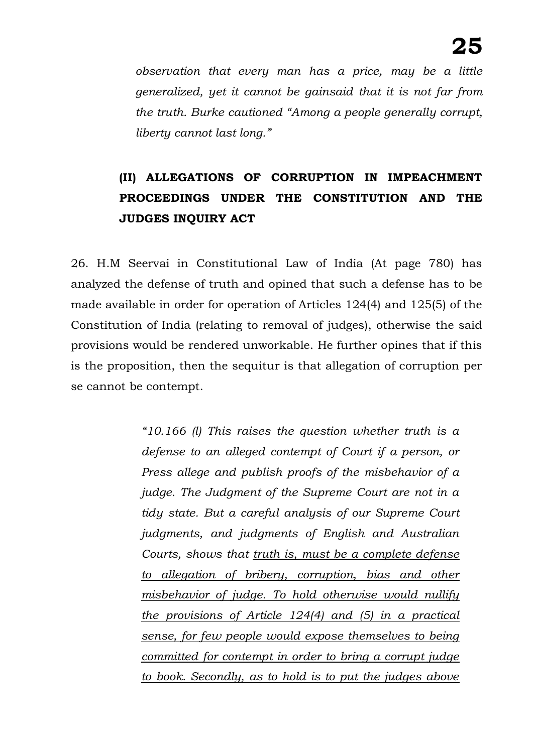*observation that every man has a price, may be a little generalized, yet it cannot be gainsaid that it is not far from the truth. Burke cautioned "Among a people generally corrupt, liberty cannot last long."*

# **(II) ALLEGATIONS OF CORRUPTION IN IMPEACHMENT PROCEEDINGS UNDER THE CONSTITUTION AND THE JUDGES INQUIRY ACT**

26. H.M Seervai in Constitutional Law of India (At page 780) has analyzed the defense of truth and opined that such a defense has to be made available in order for operation of Articles 124(4) and 125(5) of the Constitution of India (relating to removal of judges), otherwise the said provisions would be rendered unworkable. He further opines that if this is the proposition, then the sequitur is that allegation of corruption per se cannot be contempt.

> *"10.166 (l) This raises the question whether truth is a defense to an alleged contempt of Court if a person, or Press allege and publish proofs of the misbehavior of a judge. The Judgment of the Supreme Court are not in a tidy state. But a careful analysis of our Supreme Court judgments, and judgments of English and Australian Courts, shows that truth is, must be a complete defense to allegation of bribery, corruption, bias and other misbehavior of judge. To hold otherwise would nullify the provisions of Article 124(4) and (5) in a practical sense, for few people would expose themselves to being committed for contempt in order to bring a corrupt judge to book. Secondly, as to hold is to put the judges above*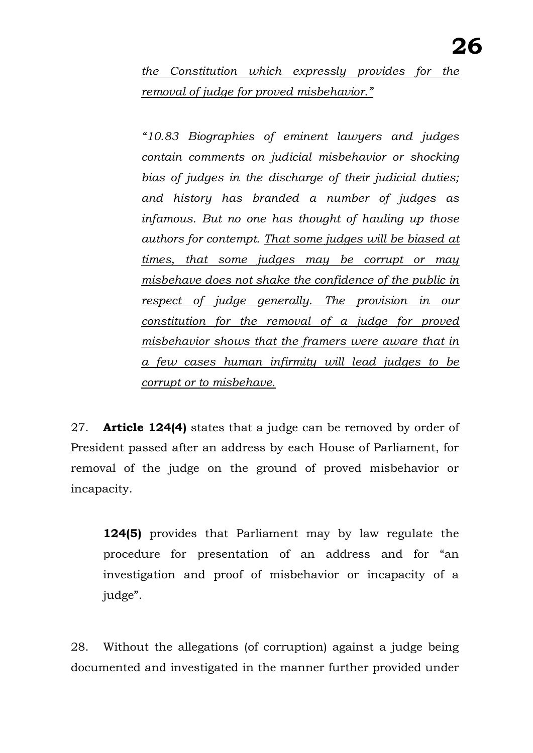*the Constitution which expressly provides for the removal of judge for proved misbehavior."*

*"10.83 Biographies of eminent lawyers and judges contain comments on judicial misbehavior or shocking bias of judges in the discharge of their judicial duties; and history has branded a number of judges as infamous. But no one has thought of hauling up those authors for contempt. That some judges will be biased at times, that some judges may be corrupt or may misbehave does not shake the confidence of the public in respect of judge generally. The provision in our constitution for the removal of a judge for proved misbehavior shows that the framers were aware that in a few cases human infirmity will lead judges to be corrupt or to misbehave.*

27. **Article 124(4)** states that a judge can be removed by order of President passed after an address by each House of Parliament, for removal of the judge on the ground of proved misbehavior or incapacity.

**124(5)** provides that Parliament may by law regulate the procedure for presentation of an address and for "an investigation and proof of misbehavior or incapacity of a judge".

28. Without the allegations (of corruption) against a judge being documented and investigated in the manner further provided under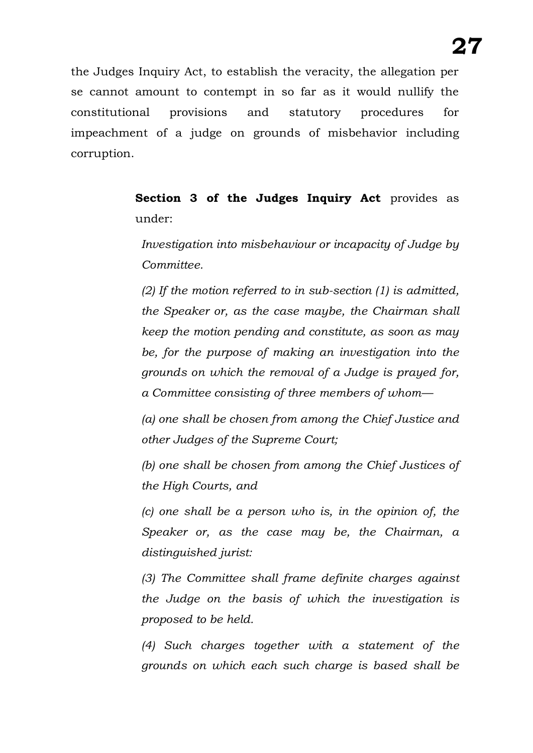the Judges Inquiry Act, to establish the veracity, the allegation per se cannot amount to contempt in so far as it would nullify the constitutional provisions and statutory procedures for impeachment of a judge on grounds of misbehavior including corruption.

> **Section 3 of the Judges Inquiry Act** provides as under:

*Investigation into misbehaviour or incapacity of Judge by Committee.*

*(2) If the motion referred to in sub-section (1) is admitted, the Speaker or, as the case maybe, the Chairman shall keep the motion pending and constitute, as soon as may be, for the purpose of making an investigation into the grounds on which the removal of a Judge is prayed for, a Committee consisting of three members of whom—*

*(a) one shall be chosen from among the Chief Justice and other Judges of the Supreme Court;*

*(b) one shall be chosen from among the Chief Justices of the High Courts, and*

*(c) one shall be a person who is, in the opinion of, the Speaker or, as the case may be, the Chairman, a distinguished jurist:*

*(3) The Committee shall frame definite charges against the Judge on the basis of which the investigation is proposed to be held.*

*(4) Such charges together with a statement of the grounds on which each such charge is based shall be*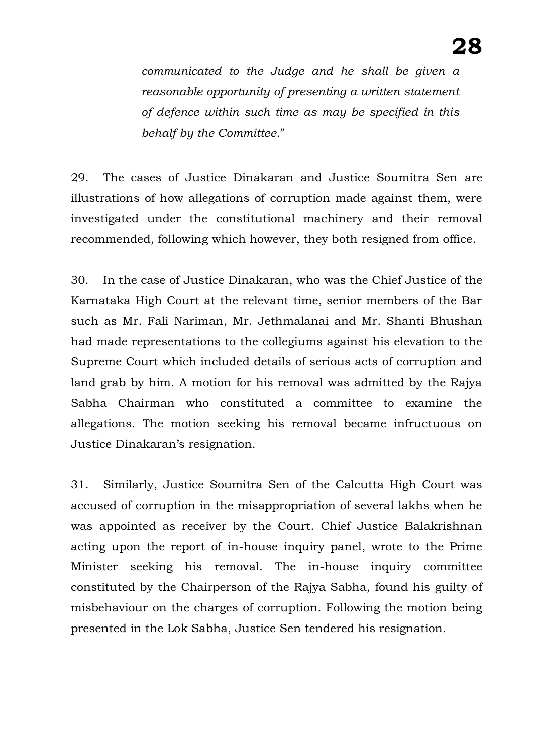*communicated to the Judge and he shall be given a reasonable opportunity of presenting a written statement of defence within such time as may be specified in this behalf by the Committee.*"

29. The cases of Justice Dinakaran and Justice Soumitra Sen are illustrations of how allegations of corruption made against them, were investigated under the constitutional machinery and their removal recommended, following which however, they both resigned from office.

30. In the case of Justice Dinakaran, who was the Chief Justice of the Karnataka High Court at the relevant time, senior members of the Bar such as Mr. Fali Nariman, Mr. Jethmalanai and Mr. Shanti Bhushan had made representations to the collegiums against his elevation to the Supreme Court which included details of serious acts of corruption and land grab by him. A motion for his removal was admitted by the Rajya Sabha Chairman who constituted a committee to examine the allegations. The motion seeking his removal became infructuous on Justice Dinakaran's resignation.

31. Similarly, Justice Soumitra Sen of the Calcutta High Court was accused of corruption in the misappropriation of several lakhs when he was appointed as receiver by the Court. Chief Justice Balakrishnan acting upon the report of in-house inquiry panel, wrote to the Prime Minister seeking his removal. The in-house inquiry committee constituted by the Chairperson of the Rajya Sabha, found his guilty of misbehaviour on the charges of corruption. Following the motion being presented in the Lok Sabha, Justice Sen tendered his resignation.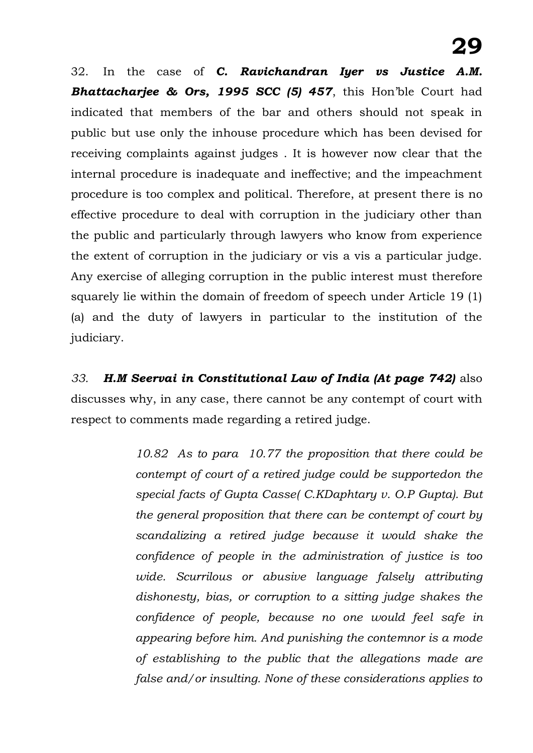32. In the case of *C. Ravichandran Iyer vs Justice A.M. Bhattacharjee & Ors, 1995 SCC (5) 457*, this Hon'ble Court had indicated that members of the bar and others should not speak in public but use only the inhouse procedure which has been devised for receiving complaints against judges . It is however now clear that the internal procedure is inadequate and ineffective; and the impeachment procedure is too complex and political. Therefore, at present there is no effective procedure to deal with corruption in the judiciary other than the public and particularly through lawyers who know from experience the extent of corruption in the judiciary or vis a vis a particular judge. Any exercise of alleging corruption in the public interest must therefore squarely lie within the domain of freedom of speech under Article 19 (1) (a) and the duty of lawyers in particular to the institution of the judiciary.

*33. H.M Seervai in Constitutional Law of India (At page 742)* also discusses why, in any case, there cannot be any contempt of court with respect to comments made regarding a retired judge.

> *10.82 As to para 10.77 the proposition that there could be contempt of court of a retired judge could be supportedon the special facts of Gupta Casse( C.KDaphtary v. O.P Gupta). But the general proposition that there can be contempt of court by scandalizing a retired judge because it would shake the confidence of people in the administration of justice is too wide. Scurrilous or abusive language falsely attributing dishonesty, bias, or corruption to a sitting judge shakes the confidence of people, because no one would feel safe in appearing before him. And punishing the contemnor is a mode of establishing to the public that the allegations made are false and/or insulting. None of these considerations applies to*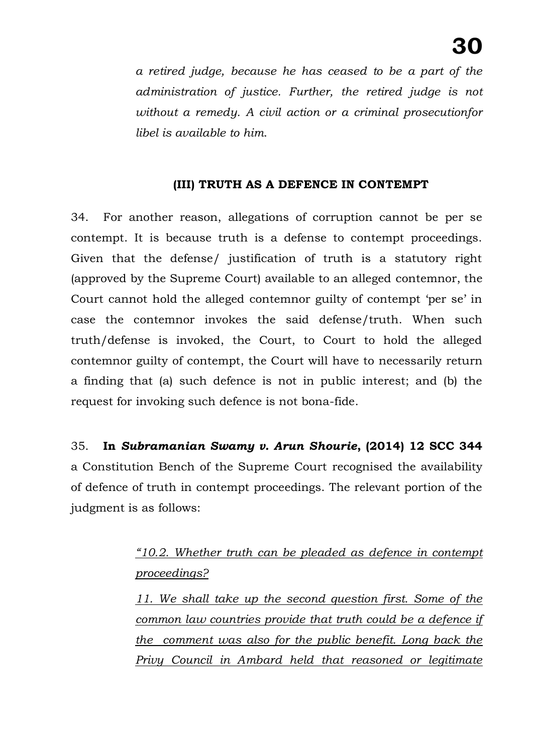*a retired judge, because he has ceased to be a part of the administration of justice. Further, the retired judge is not without a remedy. A civil action or a criminal prosecutionfor libel is available to him*.

#### **(III) TRUTH AS A DEFENCE IN CONTEMPT**

34. For another reason, allegations of corruption cannot be per se contempt. It is because truth is a defense to contempt proceedings. Given that the defense/ justification of truth is a statutory right (approved by the Supreme Court) available to an alleged contemnor, the Court cannot hold the alleged contemnor guilty of contempt 'per se' in case the contemnor invokes the said defense/truth. When such truth/defense is invoked, the Court, to Court to hold the alleged contemnor guilty of contempt, the Court will have to necessarily return a finding that (a) such defence is not in public interest; and (b) the request for invoking such defence is not bona-fide.

35. **In** *Subramanian Swamy v. Arun Shourie***, (2014) 12 SCC 344**  a Constitution Bench of the Supreme Court recognised the availability of defence of truth in contempt proceedings. The relevant portion of the judgment is as follows:

## *"10.2. Whether truth can be pleaded as defence in contempt proceedings?*

*11. We shall take up the second question first. Some of the common law countries provide that truth could be a defence if the comment was also for the public benefit. Long back the Privy Council in Ambard held that reasoned or legitimate*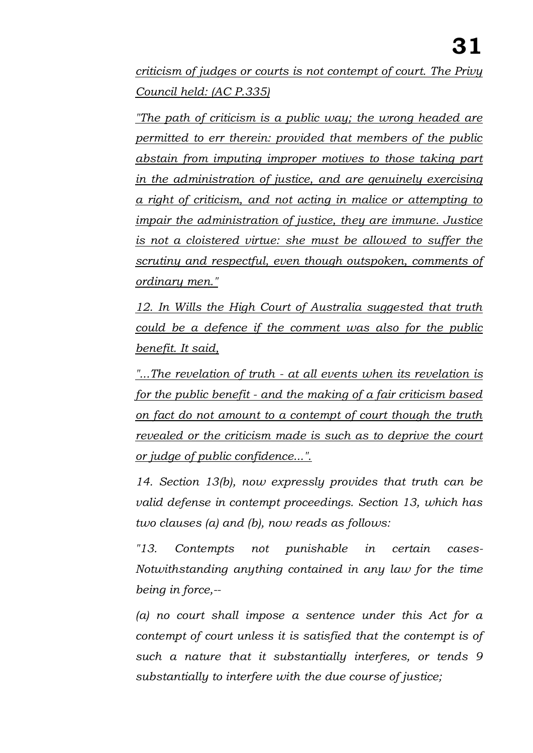*criticism of judges or courts is not contempt of court. The Privy Council held: (AC P.335)*

*"The path of criticism is a public way; the wrong headed are permitted to err therein: provided that members of the public abstain from imputing improper motives to those taking part in the administration of justice, and are genuinely exercising a right of criticism, and not acting in malice or attempting to impair the administration of justice, they are immune. Justice is not a cloistered virtue: she must be allowed to suffer the scrutiny and respectful, even though outspoken, comments of ordinary men."*

*12. In Wills the High Court of Australia suggested that truth could be a defence if the comment was also for the public benefit. It said,* 

*"...The revelation of truth - at all events when its revelation is for the public benefit - and the making of a fair criticism based on fact do not amount to a contempt of court though the truth revealed or the criticism made is such as to deprive the court or judge of public confidence...".*

*14. Section 13(b), now expressly provides that truth can be valid defense in contempt proceedings. Section 13, which has two clauses (a) and (b), now reads as follows:* 

*"13. Contempts not punishable in certain cases-Notwithstanding anything contained in any law for the time being in force,--*

*(a) no court shall impose a sentence under this Act for a contempt of court unless it is satisfied that the contempt is of such a nature that it substantially interferes, or tends 9 substantially to interfere with the due course of justice;*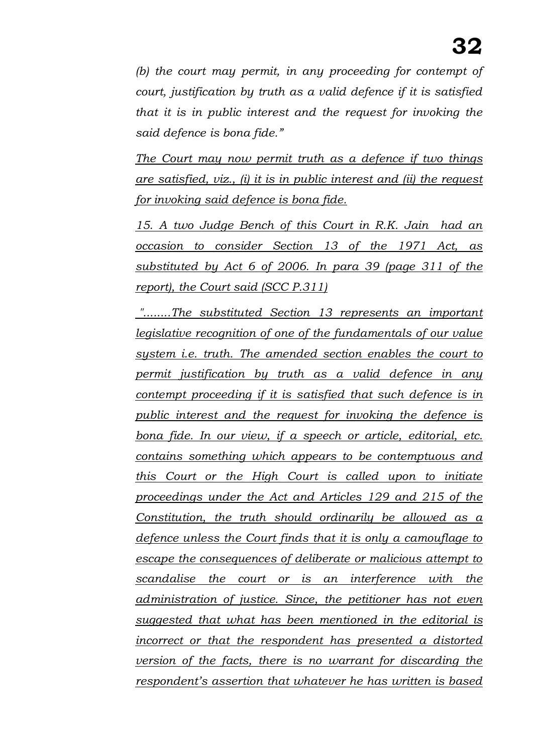*(b) the court may permit, in any proceeding for contempt of court, justification by truth as a valid defence if it is satisfied that it is in public interest and the request for invoking the said defence is bona fide."*

*The Court may now permit truth as a defence if two things are satisfied, viz., (i) it is in public interest and (ii) the request for invoking said defence is bona fide.*

*15. A two Judge Bench of this Court in R.K. Jain had an occasion to consider Section 13 of the 1971 Act, as substituted by Act 6 of 2006. In para 39 (page 311 of the report), the Court said (SCC P.311)*

*"........The substituted Section 13 represents an important legislative recognition of one of the fundamentals of our value system i.e. truth. The amended section enables the court to permit justification by truth as a valid defence in any contempt proceeding if it is satisfied that such defence is in public interest and the request for invoking the defence is bona fide. In our view, if a speech or article, editorial, etc. contains something which appears to be contemptuous and this Court or the High Court is called upon to initiate proceedings under the Act and Articles 129 and 215 of the Constitution, the truth should ordinarily be allowed as a defence unless the Court finds that it is only a camouflage to escape the consequences of deliberate or malicious attempt to scandalise the court or is an interference with the administration of justice. Since, the petitioner has not even suggested that what has been mentioned in the editorial is incorrect or that the respondent has presented a distorted version of the facts, there is no warrant for discarding the respondent's assertion that whatever he has written is based*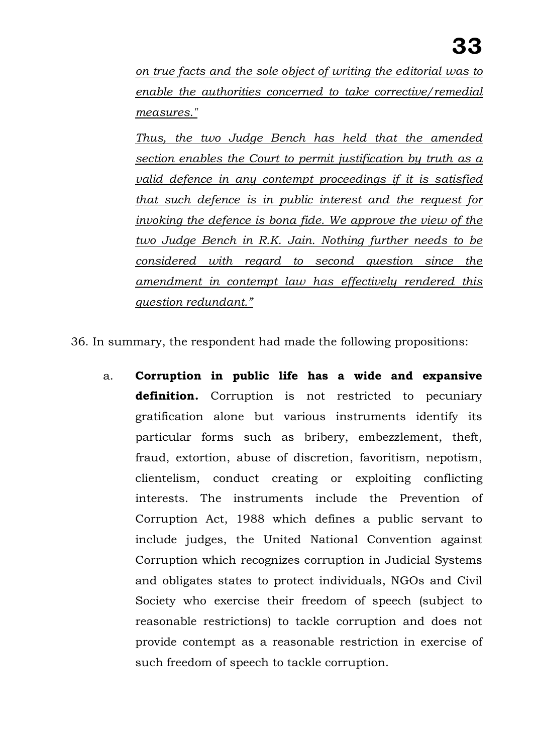*on true facts and the sole object of writing the editorial was to enable the authorities concerned to take corrective/remedial measures."*

*Thus, the two Judge Bench has held that the amended section enables the Court to permit justification by truth as a valid defence in any contempt proceedings if it is satisfied that such defence is in public interest and the request for invoking the defence is bona fide. We approve the view of the two Judge Bench in R.K. Jain. Nothing further needs to be considered with regard to second question since the amendment in contempt law has effectively rendered this question redundant."*

36. In summary, the respondent had made the following propositions:

a. **Corruption in public life has a wide and expansive**  definition. Corruption is not restricted to pecuniary gratification alone but various instruments identify its particular forms such as bribery, embezzlement, theft, fraud, extortion, abuse of discretion, favoritism, nepotism, clientelism, conduct creating or exploiting conflicting interests. The instruments include the Prevention of Corruption Act, 1988 which defines a public servant to include judges, the United National Convention against Corruption which recognizes corruption in Judicial Systems and obligates states to protect individuals, NGOs and Civil Society who exercise their freedom of speech (subject to reasonable restrictions) to tackle corruption and does not provide contempt as a reasonable restriction in exercise of such freedom of speech to tackle corruption.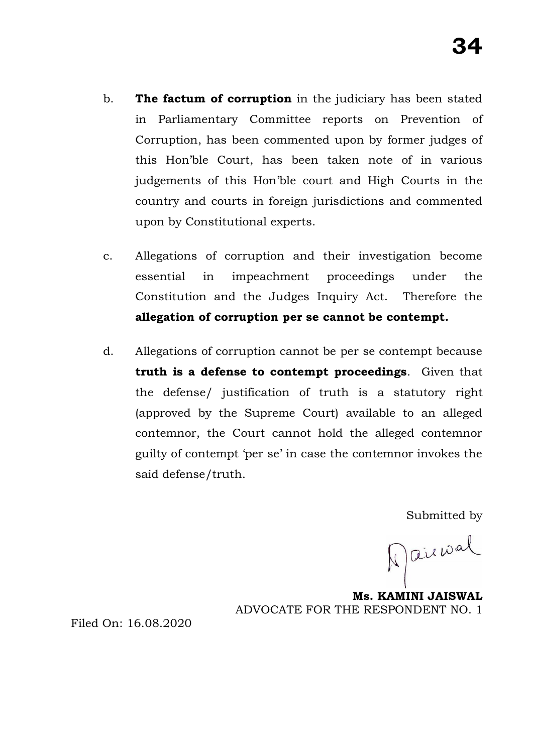- b. **The factum of corruption** in the judiciary has been stated in Parliamentary Committee reports on Prevention of Corruption, has been commented upon by former judges of this Hon'ble Court, has been taken note of in various judgements of this Hon'ble court and High Courts in the country and courts in foreign jurisdictions and commented upon by Constitutional experts.
- c. Allegations of corruption and their investigation become essential in impeachment proceedings under the Constitution and the Judges Inquiry Act. Therefore the **allegation of corruption per se cannot be contempt.**
- d. Allegations of corruption cannot be per se contempt because **truth is a defense to contempt proceedings**. Given that the defense/ justification of truth is a statutory right (approved by the Supreme Court) available to an alleged contemnor, the Court cannot hold the alleged contemnor guilty of contempt 'per se' in case the contemnor invokes the said defense/truth.

Submitted by

Marival

**Ms. KAMINI JAISWAL**  ADVOCATE FOR THE RESPONDENT NO. 1

Filed On: 16.08.2020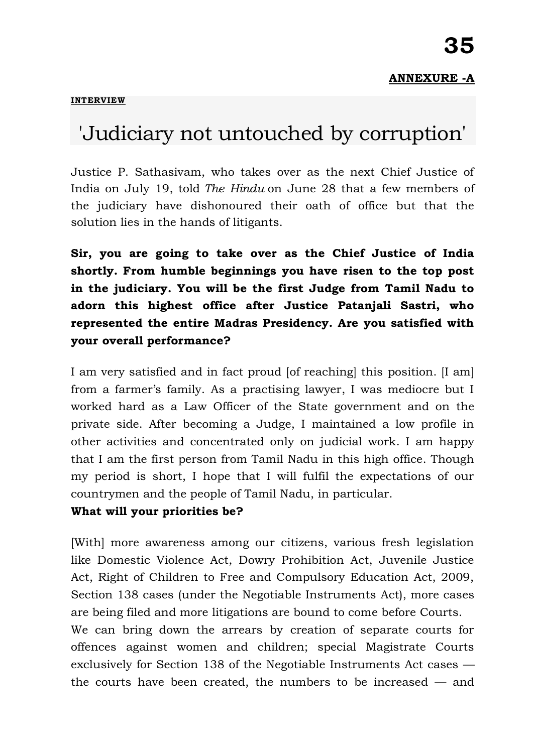#### **[INTERVIEW](https://www.thehindu.com/opinion/interview/)**

# 'Judiciary not untouched by corruption'

Justice P. Sathasivam, who takes over as the next Chief Justice of India on July 19, told *The Hindu* on June 28 that a few members of the judiciary have dishonoured their oath of office but that the solution lies in the hands of litigants.

**Sir, you are going to take over as the Chief Justice of India shortly. From humble beginnings you have risen to the top post in the judiciary. You will be the first Judge from Tamil Nadu to adorn this highest office after Justice Patanjali Sastri, who represented the entire Madras Presidency. Are you satisfied with your overall performance?**

I am very satisfied and in fact proud [of reaching] this position. [I am] from a farmer's family. As a practising lawyer, I was mediocre but I worked hard as a Law Officer of the State government and on the private side. After becoming a Judge, I maintained a low profile in other activities and concentrated only on judicial work. I am happy that I am the first person from Tamil Nadu in this high office. Though my period is short, I hope that I will fulfil the expectations of our countrymen and the people of Tamil Nadu, in particular.

#### **What will your priorities be?**

[With] more awareness among our citizens, various fresh legislation like Domestic Violence Act, Dowry Prohibition Act, Juvenile Justice Act, Right of Children to Free and Compulsory Education Act, 2009, Section 138 cases (under the Negotiable Instruments Act), more cases are being filed and more litigations are bound to come before Courts. We can bring down the arrears by creation of separate courts for offences against women and children; special Magistrate Courts exclusively for Section 138 of the Negotiable Instruments Act cases —

the courts have been created, the numbers to be increased — and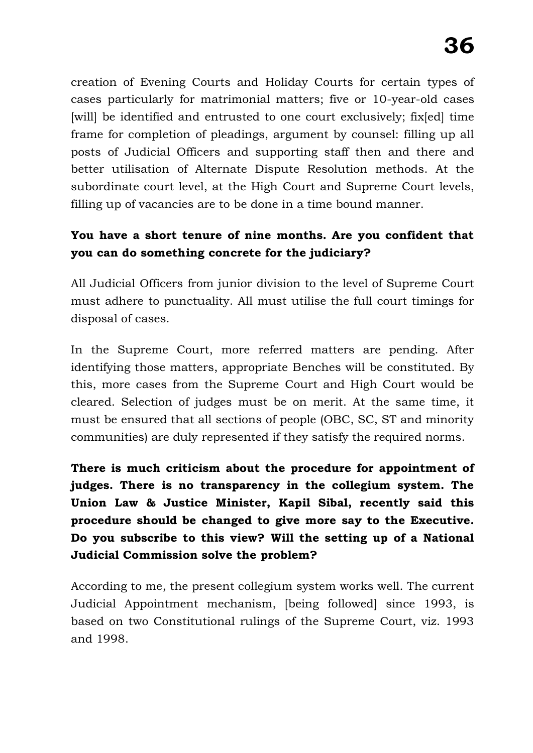creation of Evening Courts and Holiday Courts for certain types of cases particularly for matrimonial matters; five or 10-year-old cases [will] be identified and entrusted to one court exclusively; fix[ed] time frame for completion of pleadings, argument by counsel: filling up all posts of Judicial Officers and supporting staff then and there and better utilisation of Alternate Dispute Resolution methods. At the subordinate court level, at the High Court and Supreme Court levels, filling up of vacancies are to be done in a time bound manner.

### **You have a short tenure of nine months. Are you confident that you can do something concrete for the judiciary?**

All Judicial Officers from junior division to the level of Supreme Court must adhere to punctuality. All must utilise the full court timings for disposal of cases.

In the Supreme Court, more referred matters are pending. After identifying those matters, appropriate Benches will be constituted. By this, more cases from the Supreme Court and High Court would be cleared. Selection of judges must be on merit. At the same time, it must be ensured that all sections of people (OBC, SC, ST and minority communities) are duly represented if they satisfy the required norms.

**There is much criticism about the procedure for appointment of judges. There is no transparency in the collegium system. The Union Law & Justice Minister, Kapil Sibal, recently said this procedure should be changed to give more say to the Executive. Do you subscribe to this view? Will the setting up of a National Judicial Commission solve the problem?**

According to me, the present collegium system works well. The current Judicial Appointment mechanism, [being followed] since 1993, is based on two Constitutional rulings of the Supreme Court, viz. 1993 and 1998.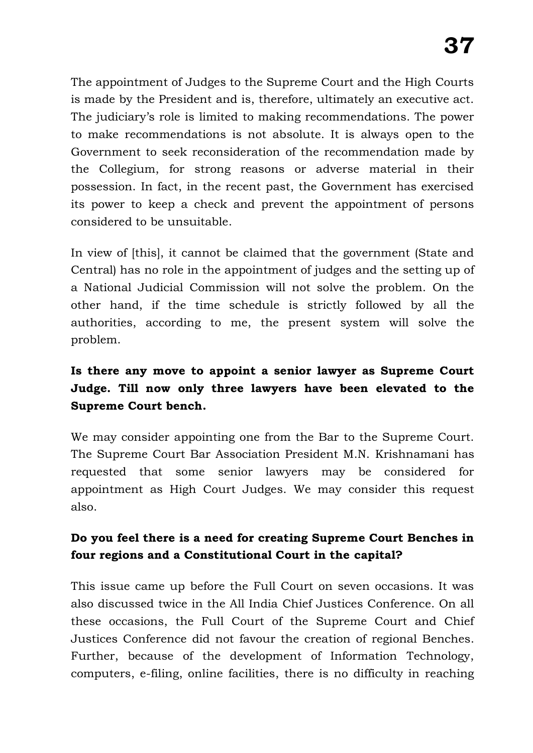The appointment of Judges to the Supreme Court and the High Courts is made by the President and is, therefore, ultimately an executive act. The judiciary's role is limited to making recommendations. The power to make recommendations is not absolute. It is always open to the Government to seek reconsideration of the recommendation made by the Collegium, for strong reasons or adverse material in their possession. In fact, in the recent past, the Government has exercised its power to keep a check and prevent the appointment of persons considered to be unsuitable.

In view of [this], it cannot be claimed that the government (State and Central) has no role in the appointment of judges and the setting up of a National Judicial Commission will not solve the problem. On the other hand, if the time schedule is strictly followed by all the authorities, according to me, the present system will solve the problem.

### **Is there any move to appoint a senior lawyer as Supreme Court Judge. Till now only three lawyers have been elevated to the Supreme Court bench.**

We may consider appointing one from the Bar to the Supreme Court. The Supreme Court Bar Association President M.N. Krishnamani has requested that some senior lawyers may be considered for appointment as High Court Judges. We may consider this request also.

### **Do you feel there is a need for creating Supreme Court Benches in four regions and a Constitutional Court in the capital?**

This issue came up before the Full Court on seven occasions. It was also discussed twice in the All India Chief Justices Conference. On all these occasions, the Full Court of the Supreme Court and Chief Justices Conference did not favour the creation of regional Benches. Further, because of the development of Information Technology, computers, e-filing, online facilities, there is no difficulty in reaching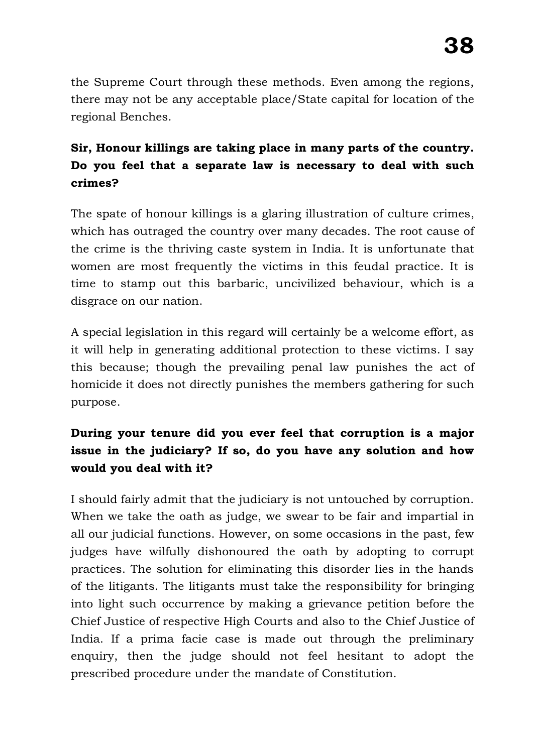the Supreme Court through these methods. Even among the regions, there may not be any acceptable place/State capital for location of the regional Benches.

## **Sir, Honour killings are taking place in many parts of the country. Do you feel that a separate law is necessary to deal with such crimes?**

The spate of honour killings is a glaring illustration of culture crimes, which has outraged the country over many decades. The root cause of the crime is the thriving caste system in India. It is unfortunate that women are most frequently the victims in this feudal practice. It is time to stamp out this barbaric, uncivilized behaviour, which is a disgrace on our nation.

A special legislation in this regard will certainly be a welcome effort, as it will help in generating additional protection to these victims. I say this because; though the prevailing penal law punishes the act of homicide it does not directly punishes the members gathering for such purpose.

## **During your tenure did you ever feel that corruption is a major issue in the judiciary? If so, do you have any solution and how would you deal with it?**

I should fairly admit that the judiciary is not untouched by corruption. When we take the oath as judge, we swear to be fair and impartial in all our judicial functions. However, on some occasions in the past, few judges have wilfully dishonoured the oath by adopting to corrupt practices. The solution for eliminating this disorder lies in the hands of the litigants. The litigants must take the responsibility for bringing into light such occurrence by making a grievance petition before the Chief Justice of respective High Courts and also to the Chief Justice of India. If a prima facie case is made out through the preliminary enquiry, then the judge should not feel hesitant to adopt the prescribed procedure under the mandate of Constitution.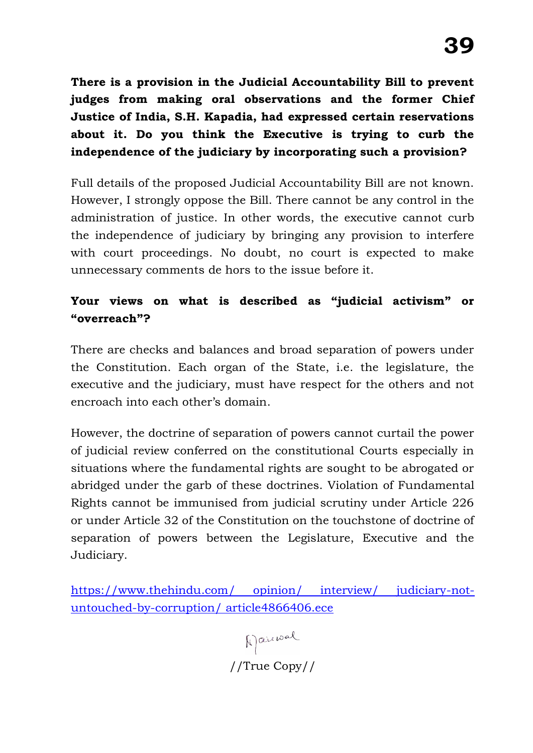**There is a provision in the Judicial Accountability Bill to prevent judges from making oral observations and the former Chief Justice of India, S.H. Kapadia, had expressed certain reservations about it. Do you think the Executive is trying to curb the independence of the judiciary by incorporating such a provision?**

Full details of the proposed Judicial Accountability Bill are not known. However, I strongly oppose the Bill. There cannot be any control in the administration of justice. In other words, the executive cannot curb the independence of judiciary by bringing any provision to interfere with court proceedings. No doubt, no court is expected to make unnecessary comments de hors to the issue before it.

### **Your views on what is described as "judicial activism" or "overreach"?**

There are checks and balances and broad separation of powers under the Constitution. Each organ of the State, i.e. the legislature, the executive and the judiciary, must have respect for the others and not encroach into each other's domain.

However, the doctrine of separation of powers cannot curtail the power of judicial review conferred on the constitutional Courts especially in situations where the fundamental rights are sought to be abrogated or abridged under the garb of these doctrines. Violation of Fundamental Rights cannot be immunised from judicial scrutiny under Article 226 or under Article 32 of the Constitution on the touchstone of doctrine of separation of powers between the Legislature, Executive and the Judiciary.

[https://www.thehindu.com/ opinion/ interview/ judiciary-not](https://www.thehindu.com/%20opinion/%20interview/%20judiciary-not-untouched-by-corruption/%20article4866406.ece)[untouched-by-corruption/ article4866406.ece](https://www.thehindu.com/%20opinion/%20interview/%20judiciary-not-untouched-by-corruption/%20article4866406.ece)

> Marcual //True Copy//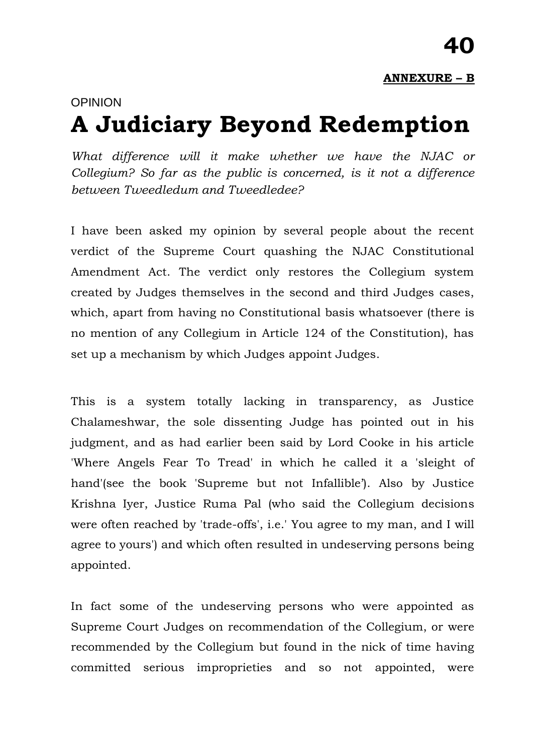# OPINION **A Judiciary Beyond Redemption**

*What difference will it make whether we have the NJAC or Collegium? So far as the public is concerned, is it not a difference between Tweedledum and Tweedledee?*

I have been asked my opinion by several people about the recent verdict of the Supreme Court quashing the NJAC Constitutional Amendment Act. The verdict only restores the Collegium system created by Judges themselves in the second and third Judges cases, which, apart from having no Constitutional basis whatsoever (there is no mention of any Collegium in Article 124 of the Constitution), has set up a mechanism by which Judges appoint Judges.

This is a system totally lacking in transparency, as Justice Chalameshwar, the sole dissenting Judge has pointed out in his judgment, and as had earlier been said by Lord Cooke in his article 'Where Angels Fear To Tread' in which he called it a 'sleight of hand'(see the book 'Supreme but not Infallible'). Also by Justice Krishna Iyer, Justice Ruma Pal (who said the Collegium decisions were often reached by 'trade-offs', i.e.' You agree to my man, and I will agree to yours') and which often resulted in undeserving persons being appointed.

In fact some of the undeserving persons who were appointed as Supreme Court Judges on recommendation of the Collegium, or were recommended by the Collegium but found in the nick of time having committed serious improprieties and so not appointed, were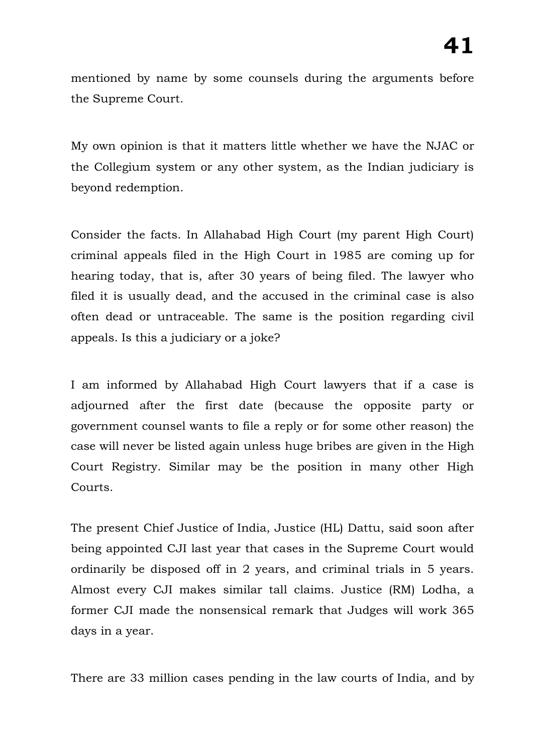mentioned by name by some counsels during the arguments before the Supreme Court.

My own opinion is that it matters little whether we have the NJAC or the Collegium system or any other system, as the Indian judiciary is beyond redemption.

Consider the facts. In Allahabad High Court (my parent High Court) criminal appeals filed in the High Court in 1985 are coming up for hearing today, that is, after 30 years of being filed. The lawyer who filed it is usually dead, and the accused in the criminal case is also often dead or untraceable. The same is the position regarding civil appeals. Is this a judiciary or a joke?

I am informed by Allahabad High Court lawyers that if a case is adjourned after the first date (because the opposite party or government counsel wants to file a reply or for some other reason) the case will never be listed again unless huge bribes are given in the High Court Registry. Similar may be the position in many other High Courts.

The present Chief Justice of India, Justice (HL) Dattu, said soon after being appointed CJI last year that cases in the Supreme Court would ordinarily be disposed off in 2 years, and criminal trials in 5 years. Almost every CJI makes similar tall claims. Justice (RM) Lodha, a former CJI made the nonsensical remark that Judges will work 365 days in a year.

There are 33 million cases pending in the law courts of India, and by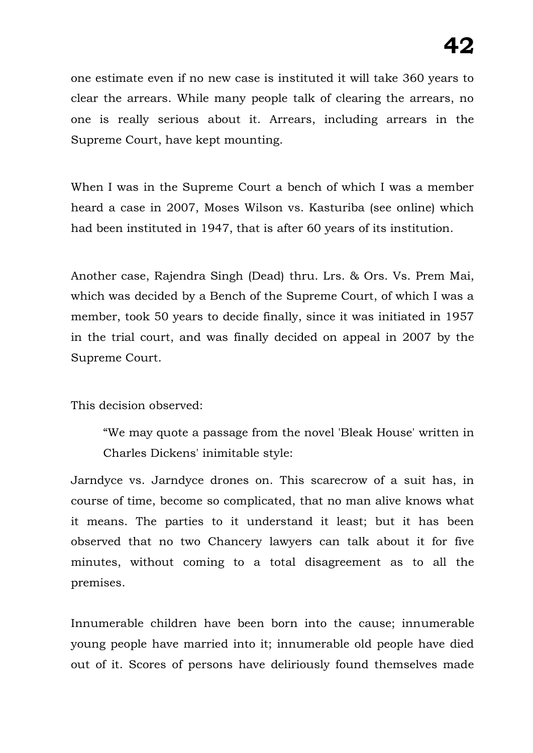one estimate even if no new case is instituted it will take 360 years to clear the arrears. While many people talk of clearing the arrears, no one is really serious about it. Arrears, including arrears in the Supreme Court, have kept mounting.

When I was in the Supreme Court a bench of which I was a member heard a case in 2007, Moses Wilson vs. Kasturiba (see online) which had been instituted in 1947, that is after 60 years of its institution.

Another case, Rajendra Singh (Dead) thru. Lrs. & Ors. Vs. Prem Mai, which was decided by a Bench of the Supreme Court, of which I was a member, took 50 years to decide finally, since it was initiated in 1957 in the trial court, and was finally decided on appeal in 2007 by the Supreme Court.

#### This decision observed:

"We may quote a passage from the novel 'Bleak House' written in Charles Dickens' inimitable style:

Jarndyce vs. Jarndyce drones on. This scarecrow of a suit has, in course of time, become so complicated, that no man alive knows what it means. The parties to it understand it least; but it has been observed that no two Chancery lawyers can talk about it for five minutes, without coming to a total disagreement as to all the premises.

Innumerable children have been born into the cause; innumerable young people have married into it; innumerable old people have died out of it. Scores of persons have deliriously found themselves made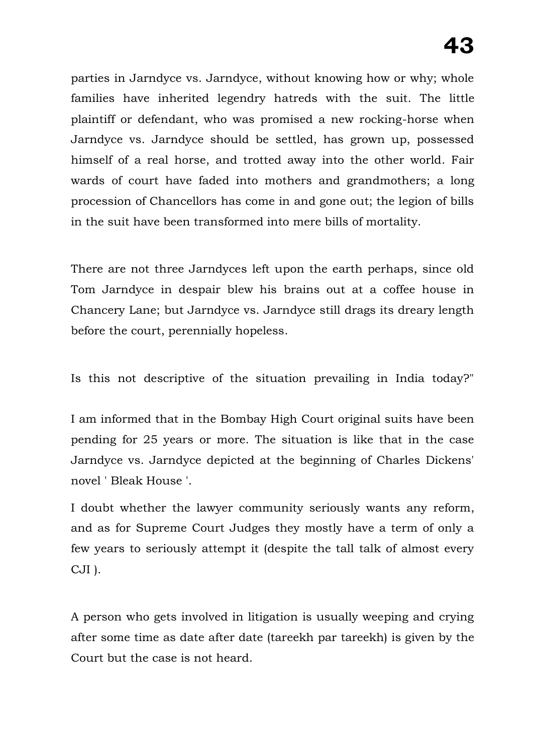parties in Jarndyce vs. Jarndyce, without knowing how or why; whole families have inherited legendry hatreds with the suit. The little plaintiff or defendant, who was promised a new rocking-horse when Jarndyce vs. Jarndyce should be settled, has grown up, possessed himself of a real horse, and trotted away into the other world. Fair wards of court have faded into mothers and grandmothers; a long procession of Chancellors has come in and gone out; the legion of bills in the suit have been transformed into mere bills of mortality.

There are not three Jarndyces left upon the earth perhaps, since old Tom Jarndyce in despair blew his brains out at a coffee house in Chancery Lane; but Jarndyce vs. Jarndyce still drags its dreary length before the court, perennially hopeless.

Is this not descriptive of the situation prevailing in India today?"

I am informed that in the Bombay High Court original suits have been pending for 25 years or more. The situation is like that in the case Jarndyce vs. Jarndyce depicted at the beginning of Charles Dickens' novel ' Bleak House '.

I doubt whether the lawyer community seriously wants any reform, and as for Supreme Court Judges they mostly have a term of only a few years to seriously attempt it (despite the tall talk of almost every CJI ).

A person who gets involved in litigation is usually weeping and crying after some time as date after date (tareekh par tareekh) is given by the Court but the case is not heard.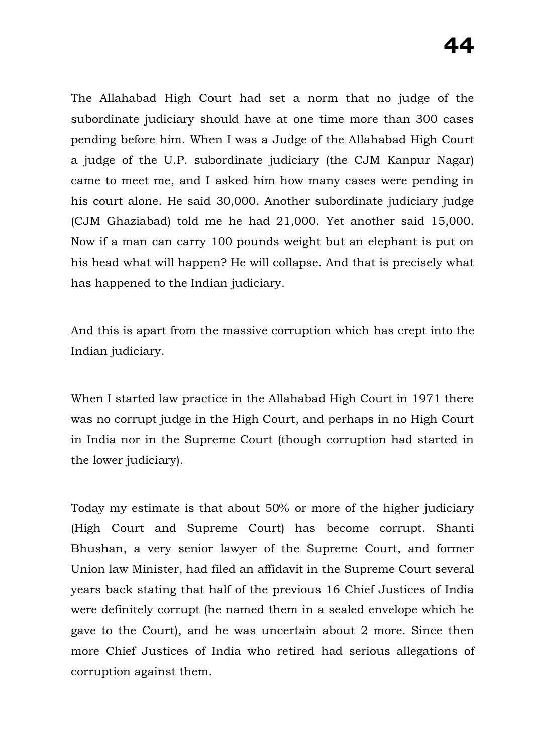The Allahabad High Court had set a norm that no judge of the subordinate judiciary should have at one time more than 300 cases pending before him. When I was a Judge of the Allahabad High Court a judge of the U.P. subordinate judiciary (the CJM Kanpur Nagar) came to meet me, and I asked him how many cases were pending in his court alone. He said 30,000. Another subordinate judiciary judge (CJM Ghaziabad) told me he had 21,000. Yet another said 15,000. Now if a man can carry 100 pounds weight but an elephant is put on his head what will happen? He will collapse. And that is precisely what has happened to the Indian judiciary.

And this is apart from the massive corruption which has crept into the Indian judiciary.

When I started law practice in the Allahabad High Court in 1971 there was no corrupt judge in the High Court, and perhaps in no High Court in India nor in the Supreme Court (though corruption had started in the lower judiciary).

Today my estimate is that about 50% or more of the higher judiciary (High Court and Supreme Court) has become corrupt. Shanti Bhushan, a very senior lawyer of the Supreme Court, and former Union law Minister, had filed an affidavit in the Supreme Court several years back stating that half of the previous 16 Chief Justices of India were definitely corrupt (he named them in a sealed envelope which he gave to the Court), and he was uncertain about 2 more. Since then more Chief Justices of India who retired had serious allegations of corruption against them.